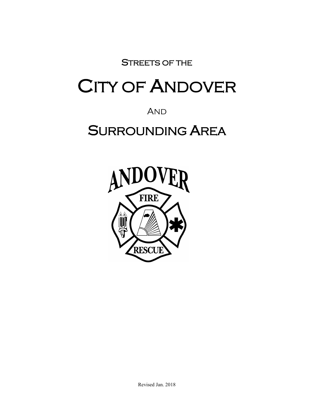STREETS OF THE

# CITY OF ANDOVER

**AND** 

## SURROUNDING AREA

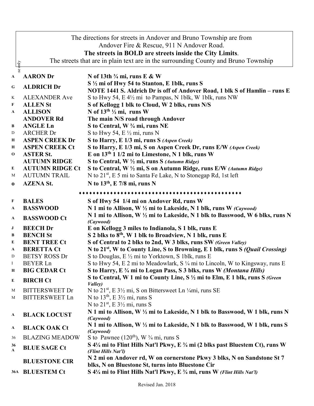|             | The directions for streets in Andover and Bruno Township are from |                                                                                                                              |  |
|-------------|-------------------------------------------------------------------|------------------------------------------------------------------------------------------------------------------------------|--|
|             | Andover Fire & Rescue, 911 N Andover Road.                        |                                                                                                                              |  |
|             | The streets in BOLD are streets inside the City Limits.           |                                                                                                                              |  |
|             |                                                                   | The streets that are in plain text are in the surrounding County and Bruno Township                                          |  |
| se only     |                                                                   |                                                                                                                              |  |
| A           | <b>AARON</b> Dr                                                   | N of 13th $\frac{3}{4}$ mi, runs E & W                                                                                       |  |
| G           | <b>ALDRICH Dr</b>                                                 | S 1/2 mi of Hwy 54 to Stanton, E 1blk, runs S                                                                                |  |
|             |                                                                   | NOTE 1441 S. Aldrich Dr is off of Andover Road, 1 blk S of Hamlin - runs E                                                   |  |
| K           | <b>ALEXANDER Ave</b>                                              | S to Hwy 54, E 4½ mi to Pampas, N 1blk, W 1blk, runs NW                                                                      |  |
| F           | <b>ALLEN St</b>                                                   | S of Kellogg 1 blk to Cloud, W 2 blks, runs N/S                                                                              |  |
| A           | <b>ALLISON</b>                                                    | N of $13^{th}$ 1/2 mi, runs W                                                                                                |  |
|             | <b>ANDOVER Rd</b>                                                 | The main N/S road through Andover                                                                                            |  |
| B           | <b>ANGLE Ln</b>                                                   | S to Central, W 3/4 mi, runs NE                                                                                              |  |
| D           | <b>ARCHER Dr</b>                                                  | S to Hwy 54, E $\frac{1}{2}$ mi, runs N                                                                                      |  |
| Н           | <b>ASPEN CREEK Dr</b>                                             | S to Harry, E 1/3 mi, runs S (Aspen Creek)                                                                                   |  |
| Н           | <b>ASPEN CREEK Ct</b>                                             | S to Harry, E 1/3 mi, S on Aspen Creek Dr, runs E/W (Aspen Creek)                                                            |  |
| $\mathbf 0$ | <b>ASTER St.</b>                                                  | E on $13th 1 1/2$ mi to Limestone, N 1 blk, runs W                                                                           |  |
|             | <b>AUTUMN RIDGE</b>                                               | S to Central, W 1/2 mi, runs S (Autumn Ridge)                                                                                |  |
| E           | <b>AUTUMN RIDGE Ct</b><br><b>AUTUMN TRAIL</b>                     | S to Central, W 1/2 mi, S on Autumn Ridge, runs E/W (Autumn Ridge)                                                           |  |
| M           |                                                                   | N to 21 <sup>st</sup> , E 5 mi to Santa Fe Lake, N to Stonegap Rd, 1st left                                                  |  |
| $\bf{0}$    | <b>AZENA St.</b>                                                  | N to $13th$ , E 7/8 mi, runs N                                                                                               |  |
|             |                                                                   | *****************************                                                                                                |  |
| F           | <b>BALES</b>                                                      | S of Hwy 54 1/4 mi on Andover Rd, runs W                                                                                     |  |
| A           | <b>BASSWOOD</b>                                                   | N 1 mi to Allison, W 1/2 mi to Lakeside, N 1 blk, runs W (Caywood)                                                           |  |
| A           | <b>BASSWOOD Ct</b>                                                | N 1 mi to Allison, W 1/2 mi to Lakeside, N 1 blk to Basswood, W 6 blks, runs N<br>(Caywood)                                  |  |
| J           | <b>BEECH Dr</b>                                                   | E on Kellogg 3 miles to Indianola, S 1 blk, runs E                                                                           |  |
| B           | <b>BENCH St</b>                                                   | S 2 blks to 8 <sup>th</sup> , W 1 blk to Broadview, N 1 blk, runs E                                                          |  |
| E           | <b>BENT TREE Ct</b>                                               | S of Central to 2 blks to 2nd, W 3 blks, runs SW (Green Valley)                                                              |  |
| A           | <b>BERETTA Ct</b>                                                 | N to 21 <sup>st</sup> , W to County Line, S to Browning, E 1 blk, runs S (Quail Crossing)                                    |  |
| $\mathbf D$ | <b>BETSY ROSS Dr</b>                                              | S to Douglas, $E \frac{1}{2}$ mi to Yorktown, S 1blk, runs E                                                                 |  |
| $\bf{I}$    | <b>BEYER Ln</b>                                                   | S to Hwy 54, E 2 mi to Meadowlark, S 1/4 mi to Lincoln, W to Kingsway, runs E                                                |  |
| $\bf H$     | <b>BIG CEDAR Ct</b>                                               | S to Harry, E 3/4 mi to Logan Pass, S 3 blks, runs W (Montana Hills)                                                         |  |
| E           | <b>BIRCH Ct</b>                                                   | S to Central, W 1 mi to County Line, S 1/2 mi to Elm, E 1 blk, runs S (Green<br>Valley)                                      |  |
| M           | <b>BITTERSWEET Dr</b>                                             | N to 21 <sup>st</sup> , E 3 <sup>1</sup> / <sub>2</sub> mi, S on Bittersweet Ln <sup>1</sup> / <sub>4</sub> mi, runs SE      |  |
| M           | <b>BITTERSWEET Ln</b>                                             | N to $13th$ , E $3\frac{1}{2}$ mi, runs S                                                                                    |  |
|             |                                                                   | N to $21st$ , E $3\frac{1}{2}$ mi, runs S                                                                                    |  |
| A           | <b>BLACK LOCUST</b>                                               | N 1 mi to Allison, W 1/2 mi to Lakeside, N 1 blk to Basswood, W 1 blk, runs N<br>(Caywood)                                   |  |
|             |                                                                   | N 1 mi to Allison, W 1/2 mi to Lakeside, N 1 blk to Basswood, W 1 blk, runs S                                                |  |
| A           | <b>BLACK OAK Ct</b>                                               | (Caywood)                                                                                                                    |  |
| 36          | <b>BLAZING MEADOW</b>                                             | S to Pawnee $(120th)$ , W $\frac{3}{4}$ mi, runs S                                                                           |  |
| 36<br>A     | <b>BLUE SAGE Ct</b>                                               | S 4¼ mi to Flint Hills Nat'l Pkwy, E ¼ mi (2 blks past Bluestem Ct), runs W<br>(Flint Hills Nat'l)                           |  |
|             | <b>BLUESTONE CIR</b>                                              | N 2 mi on Andover rd, W on cornerstone Pkwy 3 blks, N on Sandstone St 7<br>blks, N on Bluestone St, turns into Bluestone Cir |  |
|             | 36A BLUESTEM Ct                                                   | S 41/4 mi to Flint Hills Nat'l Pkwy, E 3/4 mi, runs W (Flint Hills Nat'l)                                                    |  |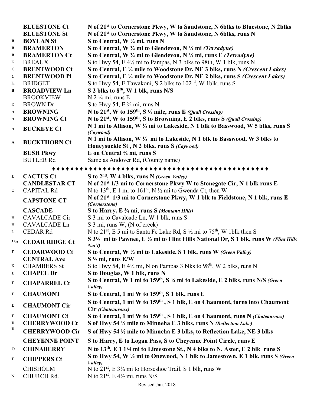|              | <b>BLUESTONE Ct</b> | N of 21 <sup>st</sup> to Cornerstone Pkwy, W to Sandstone, N 6blks to Bluestone, N 2blks     |
|--------------|---------------------|----------------------------------------------------------------------------------------------|
|              | <b>BLUESTONE St</b> | N of 21 <sup>st</sup> to Cornerstone Pkwy, W to Sandstone, N 6blks, runs N                   |
| B            | <b>BOYLAN St</b>    | S to Central, W $\frac{1}{4}$ mi, runs N                                                     |
| B            | <b>BRAMERTON</b>    | S to Central, W $\frac{3}{4}$ mi to Glendevon, N $\frac{1}{4}$ mi (Terradyne)                |
| B            | <b>BRAMERTON Ct</b> | S to Central, W $\frac{3}{4}$ mi to Glendevon, N $\frac{1}{4}$ mi, runs E <i>(Terradyne)</i> |
| K            | <b>BREAUX</b>       | S to Hwy 54, E 4½ mi to Pampas, N 3 blks to 98th, W 1 blk, runs N                            |
| $\mathbf C$  | <b>BRENTWOOD Ct</b> | S to Central, E 1/4 mile to Woodstone Dr, NE 3 blks, runs N (Crescent Lakes)                 |
| $\mathbf{C}$ | <b>BRENTWOOD PI</b> | S to Central, E 1/4 mile to Woodstone Dr, NE 2 blks, runs S (Crescent Lakes)                 |
| K            | <b>BRIDGET</b>      | S to Hwy 54, E Tawakoni, S 2 blks to 102 <sup>nd</sup> , W 1blk, runs S                      |
| B            | <b>BROADVIEW Ln</b> | S 2 blks to 8 <sup>th</sup> , W 1 blk, runs N/S                                              |
|              | <b>BROOKVIEW</b>    | $N$ 2 $\frac{1}{4}$ mi, runs E                                                               |
| D            | <b>BROWN</b> Dr     | S to Hwy 54, E $\frac{3}{4}$ mi, runs N                                                      |
| $\mathbf{A}$ | <b>BROWNING</b>     | N to $21^{st}$ , W to $159^{th}$ , S $\frac{1}{4}$ mile, runs E (Quail Crossing)             |
| $\mathbf{A}$ | <b>BROWNING Ct</b>  | N to $21^{st}$ , W to $159^{th}$ , S to Browning, E 2 blks, runs S (Quail Crossing)          |
| $\mathbf{A}$ | <b>BUCKEYE Ct</b>   | N 1 mi to Allison, W 1/2 mi to Lakeside, N 1 blk to Basswood, W 5 blks, runs S<br>(Caywood)  |
|              | <b>BUCKTHORN Ct</b> | N 1 mi to Allison, W 1/2 mi to Lakeside, N 1 blk to Basswood, W 3 blks to                    |
| $\mathbf{A}$ |                     | Honeysuckle St, N 2 blks, runs S (Caywood)                                                   |
|              | <b>BUSH Pkwy</b>    | E on Central $\frac{3}{4}$ mi, runs S                                                        |
|              | <b>BUTLER Rd</b>    | Same as Andover Rd, (County name)                                                            |

#### ♦♦♦♦♦♦♦♦♦♦♦♦♦♦♦♦♦♦♦♦♦♦♦♦♦♦♦♦♦♦♦♦♦♦♦♦♦♦♦♦♦♦♦♦♦♦♦

| $\bf E$      | <b>CACTUS Ct</b>              | S to 2 <sup>nd</sup> , W 4 blks, runs N (Green Valley)                                                                                           |
|--------------|-------------------------------|--------------------------------------------------------------------------------------------------------------------------------------------------|
|              | <b>CANDLESTAR CT</b>          | N of 21 <sup>st</sup> 1/3 mi to Cornerstone Pkwy W to Stonegate Cir, N 1 blk runs E                                                              |
| $\mathbf{O}$ | <b>CAPITAL Rd</b>             | N to 13 <sup>th</sup> , E 1 mi to 161 <sup>st</sup> , N $\frac{1}{2}$ mi to Gwenda Ct, then W                                                    |
|              | <b>CAPSTONE CT</b>            | N of 21 <sup>st</sup> 1/3 mi to Cornerstone Pkwy, W 1 blk to Fieldstone, N 1 blk, runs E<br>(Cornerstone)                                        |
|              | <b>CASCADE</b>                | S to Harry, E 3/4 mi, runs S (Montana Hills)                                                                                                     |
| H            | <b>CAVALCADE Cir</b>          | S 3 mi to Cavalcade Ln, W 1 blk, runs S                                                                                                          |
| H            | <b>CAVALCADE Ln</b>           | S 3 mi, runs W, (N of creek)                                                                                                                     |
| $\mathbf{L}$ | <b>CEDAR Rd</b>               | N to 21 <sup>st</sup> , E 5 mi to Santa Fe Lake Rd, S $\frac{1}{2}$ mi to 75 <sup>th</sup> , W 1blk then S                                       |
| <b>36A</b>   | <b>CEDAR RIDGE Ct</b>         | S 3 <sup>1</sup> / <sub>2</sub> mi to Pawnee, E <sup>1</sup> / <sub>2</sub> mi to Flint Hills National Dr, S 1 blk, runs W (Flint Hills<br>Nat'l |
| ${\bf E}$    | <b>CEDARWOOD Ct</b>           | S to Central, W 1/2 mi to Lakeside, S 1 blk, runs W (Green Valley)                                                                               |
|              | <b>CENTRAL Ave</b>            | $S\frac{1}{2}$ mi, runs E/W                                                                                                                      |
| K            | <b>CHAMBERS St</b>            | S to Hwy 54, E $4\frac{1}{2}$ mi, N on Pampas 3 blks to $98th$ , W 2 blks, runs N                                                                |
| E            | <b>CHAPEL Dr</b>              | S to Douglas, W 1 blk, runs N                                                                                                                    |
| E            | <b>CHAPARREL Ct</b>           | S to Central, W 1 mi to 159 <sup>th</sup> , S <sup>3</sup> / <sub>4</sub> mi to Lakeside, E 2 blks, runs N/S (Green<br>Valley)                   |
| E            | <b>CHAUMONT</b>               | S to Central, 1 mi W to 159 <sup>th</sup> , S 1 blk, runs E                                                                                      |
| E            | <b>CHAUMONT Cir</b>           | S to Central, 1 mi W to 159 <sup>th</sup> , S 1 blk, E on Chaumont, turns into Chaumont<br>Cir (Chateauroux)                                     |
| ${\bf E}$    | <b>CHAUMONT Ct</b>            | S to Central, 1 mi W to 159 <sup>th</sup> , S 1 blk, E on Chaumont, runs N (Chateauroux)                                                         |
| $\mathbf D$  | <b>CHERRYWOOD Ct</b>          | S of Hwy 54 1/2 mile to Minneha E 3 blks, runs N (Reflection Lake)                                                                               |
| D            | <b>CHERRYWOOD Cir</b>         | S of Hwy 54 1/2 mile to Minneha E 3 blks, to Reflection Lake, NE 3 blks                                                                          |
|              | <b>CHEYENNE POINT</b>         | S to Harry, E to Logan Pass, S to Cheyenne Point Circle, runs E                                                                                  |
| $\bf{0}$     | <b>CHINABERRY</b>             | N to 13 <sup>th</sup> , E 1 1/4 mi to Limestone St., N 4 blks to N. Aster, E 2 blk runs S                                                        |
| E            | <b>CHIPPERS Ct</b>            | S to Hwy 54, W 1/2 mi to Onewood, N 1 blk to Jamestown, E 1 blk, runs S (Green<br>Valley)                                                        |
| $\mathbf N$  | <b>CHISHOLM</b><br>CHURCH Rd. | N to $21^{st}$ , E $3\frac{1}{4}$ mi to Horseshoe Trail, S 1 blk, runs W<br>N to $21^{st}$ , E 4½ mi, runs N/S                                   |
|              |                               |                                                                                                                                                  |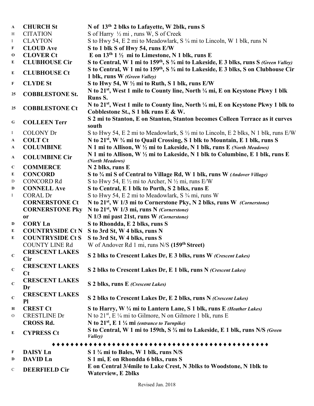| $\mathbf{A}$ | <b>CHURCH St</b>             | N of 13 <sup>th</sup> 2 blks to Lafayette, W 2blk, runs S                                                                 |
|--------------|------------------------------|---------------------------------------------------------------------------------------------------------------------------|
| H            | <b>CITATION</b>              | S of Harry 1/2 mi, runs W, S of Creek                                                                                     |
| $\bf{I}$     | <b>CLAYTON</b>               | S to Hwy 54, E 2 mi to Meadowlark, S 1/4 mi to Lincoln, W 1 blk, runs N                                                   |
| F            | <b>CLOUD</b> Ave             | S to 1 blk S of Hwy 54, runs E/W                                                                                          |
| $\mathbf 0$  | <b>CLOVER Ct</b>             | E on $13th 1$ ½ mi to Limestone, N 1 blk, runs E                                                                          |
| E            | <b>CLUBHOUSE Cir</b>         | S to Central, W 1 mi to 159 <sup>th</sup> , S <sup>3</sup> / <sub>4</sub> mi to Lakeside, E 3 blks, runs S (Green Valley) |
| ${\bf E}$    | <b>CLUBHOUSE Ct</b>          | S to Central, W 1 mi to 159 <sup>th</sup> , S <sup>3</sup> / <sub>4</sub> mi to Lakeside, E 3 blks, S on Clubhouse Cir    |
|              |                              | 1 blk, runs W (Green Valley)                                                                                              |
| F            | <b>CLYDE St</b>              | S to Hwy 54, W $\frac{1}{2}$ mi to Ruth, S 1 blk, runs E/W                                                                |
| 25           | <b>COBBLESTONE St.</b>       | N to 21 <sup>st</sup> , West 1 mile to County line, North ¼ mi, E on Keystone Pkwy 1 blk<br><b>Runs S.</b>                |
|              | <b>COBBLESTONE Ct</b>        | N to 21 <sup>st</sup> , West 1 mile to County line, North ¼ mi, E on Keystone Pkwy 1 blk to                               |
| 25           |                              | Cobblestone St., S 1 blk runs E & W.                                                                                      |
| G            | <b>COLLEEN Terr</b>          | S 2 mi to Stanton, E on Stanton, Stanton becomes Colleen Terrace as it curves                                             |
| $\bf{I}$     | <b>COLONY Dr</b>             | south<br>S to Hwy 54, E 2 mi to Meadowlark, S $\frac{1}{2}$ mi to Lincoln, E 2 blks, N 1 blk, runs E/W                    |
| A            | <b>COLT Ct</b>               | N to 21 <sup>st</sup> , W <sup>3</sup> / <sub>4</sub> mi to Quail Crossing, S 1 blk to Mountain, E 1 blk, runs S          |
|              | <b>COLUMBINE</b>             | N 1 mi to Allison, W 1/2 mi to Lakeside, N 1 blk, runs E (North Meadows)                                                  |
| A            |                              |                                                                                                                           |
| A            | <b>COLUMBINE Cir</b>         | N 1 mi to Allison, W 1/2 mi to Lakeside, N 1 blk to Columbine, E 1 blk, runs E<br>(North Meadows)                         |
| $\mathbf{C}$ | <b>COMMERCE</b>              | N 2 blks, runs E                                                                                                          |
| E            | <b>CONCORD</b>               | S to 3/4 mi S of Central to Village Rd, W 1 blk, runs W (Andover Village)                                                 |
| D            | <b>CONCORD Rd</b>            | S to Hwy 54, E $\frac{1}{2}$ mi to Archer, N $\frac{1}{2}$ mi, runs E/W                                                   |
| D            | <b>CONNELL Ave</b>           | S to Central, E 1 blk to Porth, S 2 blks, runs E                                                                          |
| $\bf{I}$     | <b>CORAL Dr</b>              | S to Hwy 54, E 2 mi to Meadowlark, S 3/4 mi, runs W                                                                       |
|              | <b>CORNERSTONE Ct</b>        | N to 21 <sup>st</sup> , W 1/3 mi to Cornerstone Pky, N 2 blks, runs W (Cornerstone)                                       |
|              | <b>CORNERSTONE Pky</b>       | N to $21^{st}$ , W 1/3 mi, runs N (Cornerstone)                                                                           |
|              | <b>or</b>                    | N 1/3 mi past 21st, runs W (Cornerstone)                                                                                  |
| D            | <b>CORY Ln</b>               | S to Rhondda, E 2 blks, runs S                                                                                            |
| E            | <b>COUNTRYSIDE Ct N</b>      | S to 3rd St, W 4 blks, runs N                                                                                             |
| E            | <b>COUNTRYSIDE Ct S</b>      | S to 3rd St, W 4 blks, runs S                                                                                             |
|              | <b>COUNTY LINE Rd</b>        | W of Andover Rd 1 mi, runs N/S (159 <sup>th</sup> Street)                                                                 |
| $\mathbf C$  | <b>CRESCENT LAKES</b>        | S 2 blks to Crescent Lakes Dr, E 3 blks, runs W (Crescent Lakes)                                                          |
|              | Cir<br><b>CRESCENT LAKES</b> |                                                                                                                           |
| $\mathbf C$  | $C_{t}$                      | S 2 blks to Crescent Lakes Dr, E 1 blk, runs N (Crescent Lakes)                                                           |
| $\mathbf C$  | <b>CRESCENT LAKES</b>        | S 2 blks, runs E (Crescent Lakes)                                                                                         |
|              | Dr                           |                                                                                                                           |
| $\mathbf C$  | <b>CRESCENT LAKES</b><br>Pl  | S 2 blks to Crescent Lakes Dr, E 2 blks, runs N (Crescent Lakes)                                                          |
| Н            | <b>CREST Ct</b>              | S to Harry, W 1/4 mi to Lantern Lane, S 1 blk, runs E (Heather Lakes)                                                     |
| O            | <b>CRESTLINE Dr</b>          | N to $21^{st}$ , E ¼ mi to Gilmore, N on Gilmore 1 blk, runs E                                                            |
|              | <b>CROSS Rd.</b>             | N to $21^{st}$ , E 1 $\frac{1}{4}$ mi (entrance to Turnpike)                                                              |
| E            | <b>CYPRESS Ct</b>            | S to Central, W 1 mi to 159th, S 3/4 mi to Lakeside, E 1 blk, runs N/S (Green                                             |
|              |                              | Valley)                                                                                                                   |
|              |                              |                                                                                                                           |
| F            | <b>DAISY Ln</b>              | S 1 3/4 mi to Bales, W 1 blk, runs N/S                                                                                    |
| D            | <b>DAVID Ln</b>              | S 1 mi, E on Rhondda 6 blks, runs S                                                                                       |
| C            | <b>DEERFIELD Cir</b>         | E on Central 3/4mile to Lake Crest, N 3blks to Woodstone, N 1blk to<br><b>Waterview, E 2blks</b>                          |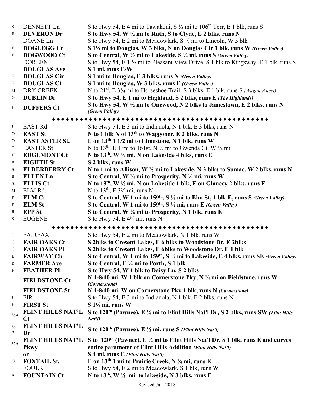| $\,$ K      | <b>DENNETT Ln</b>        | S to Hwy 54, E 4 mi to Tawakoni, S $\frac{1}{2}$ mi to 106 <sup>th</sup> Terr, E 1 blk, runs S                             |
|-------------|--------------------------|----------------------------------------------------------------------------------------------------------------------------|
| F           | <b>DEVERON Dr</b>        | S to Hwy 54, W 1/2 mi to Ruth, S to Clyde, E 2 blks, runs N                                                                |
| $\bf{I}$    | DOANE Ln                 | S to Hwy 54, E 2 mi to Meadowlark, S $\frac{1}{2}$ mi to Lincoln, W 5 blk                                                  |
| E           | <b>DOGLEGG Ct</b>        | S 1¼ mi to Douglas, W 3 blks, N on Douglas Cir 1 blk, runs W (Green Valley)                                                |
| E           | <b>DOGWOOD Ct</b>        | S to Central, W 1/2 mi to Lakeside, S 1/4 mi, runs S (Green Valley)                                                        |
|             | <b>DOREEN</b>            | S to Hwy 54, E 1 1/2 mi to Pleasant View Drive, S 1 blk to Kingsway, E 1 blk, runs S                                       |
|             | <b>DOUGLAS Ave</b>       | S 1 mi, runs E/W                                                                                                           |
| Ε           | <b>DOUGLAS Cir</b>       | S 1 mi to Douglas, E 3 blks, runs N (Green Valley)                                                                         |
| E           | <b>DOUGLAS Ct</b>        | S 1 mi to Douglas, W 3 blks, runs E (Green Valley)                                                                         |
| М           | DRY CREEK                | N to $21^{st}$ , E $3\frac{1}{4}$ mi to Horseshoe Trail, S 3 blks, E 1 blk, runs S (Wagon Wheel)                           |
| G           | <b>DUBLIN Dr</b>         | S to Hwy 54, E 1 mi to Highland, S 2 blks, runs E (The Highlands)                                                          |
|             |                          | S to Hwy 54, W 1/2 mi to Onewood, N 2 blks to Jamestown, E 2 blks, runs N                                                  |
| E           | <b>DUFFERS Ct</b>        | (Green Valley)                                                                                                             |
|             |                          |                                                                                                                            |
| J           | <b>EAST Rd</b>           | S to Hwy 54, E 3 mi to Indianola, N 1 blk, E 3 blks, runs N                                                                |
| $\mathbf 0$ | <b>EAST St</b>           | N to 1 blk N of 13 <sup>th</sup> to Waggoner, E 2 blks, runs N                                                             |
| $\mathbf 0$ | <b>EAST ASTER St.</b>    | E on 13th 1 1/2 mi to Limestone, N 1 blk, runs W                                                                           |
| O           | <b>EASTER St</b>         | N to 13 <sup>th</sup> , E 1 mi to 161st, N 1/2 mi to Gwenda Ct, W 1/4 mi                                                   |
| $\bf H$     | <b>EDGEMONT Ct</b>       | N to 13 <sup>th</sup> , W 1/2 mi, N on Lakeside 4 blks, runs E                                                             |
| B           | <b>EIGHTH St</b>         | S 2 blks, runs W                                                                                                           |
| A           | <b>ELDERBERRY Ct</b>     | N to 1 mi to Allison, W 1/2 mi to Lakeside, N 3 blks to Sumac, W 2 blks, runs N                                            |
| В           | <b>ELLENLn</b>           | S to Central, W $\frac{1}{4}$ mi to Prosperity, N $\frac{1}{4}$ mi, runs W                                                 |
| A           | <b>ELLIS Ct</b>          | N to 13 <sup>th</sup> , W 1/2 mi, N on Lakeside 1 blk, E on Glancey 2 blks, runs E                                         |
| M           | ELM Rd.                  | N to $13th$ , E $3\frac{3}{4}$ mi, runs N                                                                                  |
| E           | <b>ELM Ct</b>            | S to Central, W 1 mi to $159th$ , S $\frac{1}{2}$ mi to Elm St, 1 blk E, runs S (Green Valley)                             |
| E           | <b>ELM St</b>            | S to Central, W 1 mi to $159th$ , S $\frac{1}{2}$ mi, runs E (Green Valley)                                                |
| B           | <b>EPP</b> St            | S to Central, W 1/4 mi to Prosperity, N 1 blk, runs E                                                                      |
| K           | <b>EUGENE</b>            | S to Hwy 54, E $4\frac{3}{4}$ mi, runs N                                                                                   |
|             |                          | .                                                                                                                          |
|             |                          | S to Hwy 54, E 2 mi to Meadowlark, N 1 blk, runs W                                                                         |
| $\bf{I}$    | <b>FAIRFAX</b>           |                                                                                                                            |
| $\mathbf C$ | <b>FAIR OAKS Ct</b>      | S 2blks to Cresent Lakes, E 6 blks to Woodstone Dr, E 2blks                                                                |
| $\mathbf C$ | <b>FAIR OAKS PI</b>      | S 2blks to Cresent Lakes, E 6blks to Woodstone Dr, E 1 blk                                                                 |
| E           | <b>FAIRWAY Cir</b>       | S to Central, W 1 mi to 159 <sup>th</sup> , S <sup>3</sup> / <sub>4</sub> mi to Lakeside, E 4 blks, runs SE (Green Valley) |
| D           | <b>FARMER Ave</b>        | S to Central, E 1/4 mi to Porth, S 1 blk                                                                                   |
| F           | <b>FEATHER PI</b>        | S to Hwy 54, W 1 blk to Daisy Ln, S 2 blks                                                                                 |
|             | <b>FIELDSTONE Ct</b>     | N 1-8/10 mi, W 1 blk on Cornerstone Pky, N 1/4 mi on Fieldstone, runs W<br>(Cornerstone)                                   |
|             | <b>FIELDSTONE St</b>     | N 1-8/10 mi, W on Cornerstone Pky 1 blk, runs N (Cornerstone)                                                              |
| J           | <b>FIR</b>               | S to Hwy 54, E 3 mi to Indianola, N 1 blk, E 2 blks, runs N                                                                |
| E           | <b>FIRST St</b>          | S 11/4 mi, runs W                                                                                                          |
| 36A         | <b>FLINT HILLS NAT'L</b> | S to 120 <sup>th</sup> (Pawnee), E ¼ mi to Flint Hills Nat'l Dr, S 2 blks, runs SW (Flint Hills                            |
|             | $C_{t}$                  | Nat'l                                                                                                                      |
| 36<br>A     | FLINT HILLS NAT'L<br>Dr  | S to 120 <sup>th</sup> (Pawnee), E 1/2 mi, runs S (Flint Hills Nat'l)                                                      |
|             | <b>FLINT HILLS NAT'L</b> | S to 120 <sup>th</sup> (Pawnee), E $\frac{1}{2}$ mi to Flint Hills Nat'l Dr, S 1 blk, runs E and curves                    |
| 36A         | <b>Pkwy</b>              | entire parameter of Flint Hills Addition (Flint Hills Nat'l)                                                               |
|             | <b>or</b>                | S 4 mi, runs E (Flint Hills Nat'l)                                                                                         |
| $\bf{0}$    | <b>FOXTAIL St.</b>       | E on 13 <sup>th</sup> 1 mi to Prairie Creek, N 1/4 mi, runs E                                                              |
| $\bf{I}$    | <b>FOULK</b>             | S to Hwy 54, E 2 mi to Meadowlark, S 1 blk, runs W                                                                         |
| A           | <b>FOUNTAIN Ct</b>       | N to $13th$ , W $\frac{1}{2}$ mi to lakeside, N 3 blks, runs E                                                             |
|             |                          |                                                                                                                            |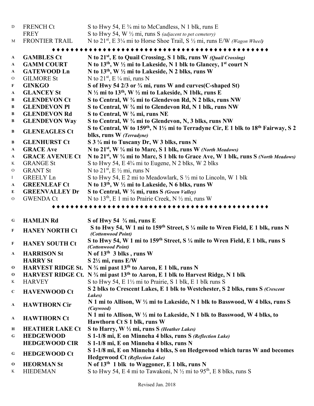| D            | <b>FRENCH Ct</b>       | S to Hwy 54, E 3/4 mi to McCandless, N 1 blk, runs E                                                                                 |
|--------------|------------------------|--------------------------------------------------------------------------------------------------------------------------------------|
|              | <b>FREY</b>            | S to Hwy 54, W 1/2 mi, runs S (adjacent to pet cemetery)                                                                             |
| M            | <b>FRONTIER TRAIL</b>  | N to $21^{st}$ , E $3\frac{1}{4}$ mi to Horse Shoe Trail, S $\frac{1}{2}$ mi, runs E/W (Wagon Wheel)                                 |
|              |                        |                                                                                                                                      |
| $\mathbf{A}$ | <b>GAMBLES Ct</b>      | N to 21 <sup>st</sup> , E to Quail Crossing, S 1 blk, runs W (Quail Crossing)                                                        |
| $\mathbf{A}$ | <b>GAMM COURT</b>      | N to 13 <sup>th</sup> , W $\frac{1}{2}$ mi to Lakeside, N 1 blk to Glancey, 1 <sup>st</sup> court N                                  |
| A            | <b>GATEWOOD Ln</b>     | N to 13 <sup>th</sup> , W 1/2 mi to Lakeside, N 2 blks, runs W                                                                       |
| O            | <b>GILMORE St</b>      | N to $21^{st}$ , E ¼ mi, runs N                                                                                                      |
| F            | <b>GINKGO</b>          | S of Hwy 54 2/3 or <sup>3</sup> / <sub>4</sub> mi, runs W and curves(C-shaped St)                                                    |
| A            | <b>GLANCEY St</b>      | N 1/2 mi to 13 <sup>th</sup> , W 1/2 mi to Lakeside, N 1blk, runs E                                                                  |
| B            | <b>GLENDEVON Ct</b>    | S to Central, W 3/4 mi to Glendevon Rd, N 2 blks, runs NW                                                                            |
| В            | <b>GLENDEVON PI</b>    | S to Central, W 3/4 mi to Glendevon Rd, N 1 blk, runs NW                                                                             |
| В            | <b>GLENDEVON Rd</b>    | S to Central, W 3/4 mi, runs NE                                                                                                      |
| В            | <b>GLENDEVON Way</b>   | S to Central, W 3/4 mi to Glendevon, N, 3 blks, runs NW                                                                              |
| B            | <b>GLENEAGLES Ct</b>   | S to Central, W to 159 <sup>th</sup> , N 1 <sup>1</sup> / <sub>2</sub> mi to Terradyne Cir, E 1 blk to 18 <sup>th</sup> Fairway, S 2 |
|              |                        | blks, runs W (Terradyne)                                                                                                             |
| В            | <b>GLENHURST Ct</b>    | S 3 1/4 mi to Tuscany Dr, W 3 blks, runs N                                                                                           |
| A            | <b>GRACE Ave</b>       | N to 21 <sup>st</sup> , W 1/4 mi to Marc, S 1 blk, runs W (North Meadows)                                                            |
| A            | <b>GRACE AVENUE Ct</b> | N to 21 <sup>st</sup> , W 1/4 mi to Marc, S 1 blk to Grace Ave, W 1 blk, runs S (North Meadows)                                      |
| $\bf K$      | <b>GRANGE St</b>       | S to Hwy 54, E 4 <sup>3</sup> / <sub>4</sub> mi to Eugene, N 2 blks, W 2 blks                                                        |
| $\mathbf{O}$ | <b>GRANT St</b>        | N to $21^{st}$ , E $\frac{1}{2}$ mi, runs N                                                                                          |
| $\bf{I}$     | <b>GREELY Ln</b>       | S to Hwy 54, E 2 mi to Meadowlark, S 1/2 mi to Lincoln, W 1 blk                                                                      |
| A            | <b>GREENLEAF Ct</b>    | N to 13 <sup>th</sup> , W 1/2 mi to Lakeside, N 6 blks, runs W                                                                       |
| E            | <b>GREENVALLEY Dr</b>  | S to Central, W 3/4 mi, runs S (Green Valley)                                                                                        |
| $\mathbf{O}$ | <b>GWENDA Ct</b>       | N to 13 <sup>th</sup> , E 1 mi to Prairie Creek, N $\frac{1}{2}$ mi, runs W                                                          |
|              |                        |                                                                                                                                      |
| G            | <b>HAMLIN Rd</b>       | S of Hwy 54 $\frac{3}{4}$ mi, runs E                                                                                                 |
| $\mathbf F$  | <b>HANEY NORTH Ct</b>  | S to Hwy 54, W 1 mi to 159 <sup>th</sup> Street, S 1/4 mile to Wren Field, E 1 blk, runs N                                           |
|              |                        | (Cottonwood Point)                                                                                                                   |
| $\mathbf F$  | <b>HANEY SOUTH Ct</b>  | S to Hwy 54, W 1 mi to 159 <sup>th</sup> Street, S 1/4 mile to Wren Field, E 1 blk, runs S<br>(Cottonwood Point)                     |
| A            | <b>HARRISON St</b>     | N of 13th 3 blks, runs W                                                                                                             |
|              | <b>HARRY St</b>        | $S$ 2 $\frac{1}{2}$ mi, runs E/W                                                                                                     |
| 0            |                        | HARVEST RIDGE St. N 3/4 mi past 13 <sup>th</sup> to Aaron, E 1 blk, runs N                                                           |
| 0            |                        | HARVEST RIDGE Ct. N 3/4 mi past 13 <sup>th</sup> to Aaron, E 1 blk to Harvest Ridge, N 1 blk                                         |
| K            | <b>HARVEY</b>          | S to Hwy 54, E 1½ mi to Prairie, S 1 blk, E 1 blk runs S                                                                             |
| $\mathbf C$  | <b>HAVENWOOD Ct</b>    | S 2 blks to Crescent Lakes, E 1 blk to Westchester, S 2 blks, runs S (Crescent<br>Lakes)                                             |

- **<sup>A</sup> HAWTHORN Cir N 1 mi to Allison, W ½ mi to Lakeside, N 1 blk to Basswood, W 4 blks, runs S**  *(Caywood)*
- **<sup>A</sup> HAWTHORN Ct N 1 mi to Allison, W ½ mi to Lakeside, N 1 blk to Basswood, W 4 blks, to Hawthorn Ct S 1 blk, runs W**
- **<sup>H</sup> HEATHER LAKE Ct S to Harry, W ½ mi, runs S** *(Heather Lakes)*
- **<sup>G</sup> HEDGEWOOD S 1-1/8 mi, E on Minneha 4 blks, runs S** *(Reflection Lake)*
- **HEDGEWOOD CIR S 1-1/8 mi, E on Minneha 4 blks, runs N**
- **<sup>G</sup> HEDGEWOOD Ct S 1-1/8 mi, E on Minneha 4 blks, S on Hedgewood which turns W and becomes Hedgewood Ct** *(Reflection Lake)*
- **<sup>O</sup> HEORMAN St N of 13th 1 blk to Waggoner, E 1 blk, runs N**
- K HIEDEMAN S to Hwy 54, E 4 mi to Tawakoni, N  $\frac{1}{2}$  mi to 95<sup>th</sup>, E 8 blks, runs S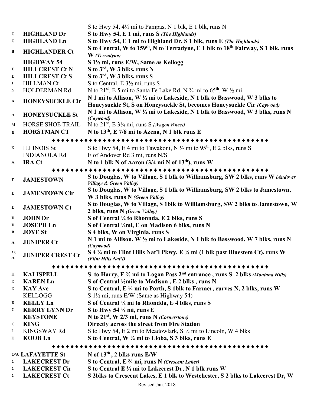|                               |                         | S to Hwy 54, $4\frac{1}{2}$ mi to Pampas, N 1 blk, E 1 blk, runs N                                                                                  |
|-------------------------------|-------------------------|-----------------------------------------------------------------------------------------------------------------------------------------------------|
| $\mathbf G$                   | <b>HIGHLAND Dr</b>      | S to Hwy 54, E 1 mi, runs S (The Highlands)                                                                                                         |
| G                             | <b>HIGHLAND Ln</b>      | S to Hwy 54, E 1 mi to Highland Dr, S 1 blk, runs E (The Highlands)                                                                                 |
| B                             | <b>HIGHLANDER Ct</b>    | S to Central, W to 159 <sup>th</sup> , N to Terradyne, E 1 blk to 18 <sup>th</sup> Fairway, S 1 blk, runs<br>W (Terradyne)                          |
|                               | <b>HIGHWAY 54</b>       | S 1½ mi, runs E/W, Same as Kellogg                                                                                                                  |
| E                             | <b>HILLCREST Ct N</b>   | S to 3rd, W 3 blks, runs N                                                                                                                          |
| E                             | <b>HILLCREST Ct S</b>   | S to 3 <sup>rd</sup> , W 3 blks, runs S                                                                                                             |
| J                             | <b>HILLMAN Ct</b>       | S to Central, E 3 <sup>1</sup> / <sub>2</sub> mi, runs S                                                                                            |
| N                             | <b>HOLDERMAN Rd</b>     | N to 21 <sup>st</sup> , E 5 mi to Santa Fe Lake Rd, N $\frac{3}{4}$ mi to 65 <sup>th</sup> , W $\frac{1}{2}$ mi                                     |
| A                             | <b>HONEYSUCKLE Cir</b>  | N 1 mi to Allison, W 1/2 mi to Lakeside, N 1 blk to Basswood, W 3 blks to<br>Honeysuckle St, S on Honeysuckle St, becomes Honeysuckle Cir (Caywood) |
| A                             | <b>HONEYSUCKLE St</b>   | N 1 mi to Allison, W 1/2 mi to Lakeside, N 1 blk to Basswood, W 3 blks, runs N<br>(Caywood)                                                         |
| M                             | HORSE SHOE TRAIL        | N to $21^{st}$ , E $3\frac{1}{4}$ mi, runs S (Wagon Wheel)                                                                                          |
| $\bf{0}$                      | <b>HORSTMAN CT</b>      | N to 13 <sup>th</sup> , E 7/8 mi to Azena, N 1 blk runs E                                                                                           |
|                               |                         | ***********************                                                                                                                             |
| K                             | <b>ILLINOIS St</b>      | S to Hwy 54, E 4 mi to Tawakoni, N $\frac{1}{2}$ mi to 95 <sup>th</sup> , E 2 blks, runs S                                                          |
|                               | <b>INDIANOLA Rd</b>     | E of Andover Rd 3 mi, runs N/S                                                                                                                      |
| A                             | <b>IRA Ct</b>           | N to 1 blk N of Aaron (3/4 mi N of 13 <sup>th</sup> ), runs W                                                                                       |
|                               |                         | ******************                                                                                                                                  |
| ${\bf E}$                     | <b>JAMESTOWN</b>        | S to Douglas, W to Village, S 1 blk to Williamsburg, SW 2 blks, runs W (Andover<br>Village & Green Valley)                                          |
| $\bf{E}$                      | <b>JAMESTOWN Cir</b>    | S to Douglas, W to Village, S 1 blk to Williamsburg, SW 2 blks to Jamestown,<br>W 3 blks, runs N (Green Valley)                                     |
| ${\bf E}$                     | <b>JAMESTOWN Ct</b>     | S to Douglas, W to Village, S 1blk to Williamsburg, SW 2 blks to Jamestown, W<br>2 blks, runs N (Green Valley)                                      |
| D                             | <b>JOHN Dr</b>          | S of Central 1/4 to Rhonnda, E 2 blks, runs S                                                                                                       |
| D                             | <b>JOSEPH Ln</b>        | S of Central ½mi, E on Madison 6 blks, runs N                                                                                                       |
| B                             | <b>JOYE</b> St          | S 4 blks, W on Virginia, runs S                                                                                                                     |
| $\mathbf{A}$                  | <b>JUNIPER Ct</b>       | N 1 mi to Allison, W 1/2 mi to Lakeside, N 1 blk to Basswood, W 7 blks, runs N<br>(Caywood)                                                         |
| 36<br>$\overline{\mathbf{A}}$ | <b>JUNIPER CREST Ct</b> | S 4 ¼ mi to Flint Hills Nat'l Pkwy, E ¼ mi (1 blk past Bluestem Ct), runs W<br>(Flint Hills Nat'l)                                                  |
|                               |                         |                                                                                                                                                     |
|                               |                         |                                                                                                                                                     |
| Η                             | <b>KALISPELL</b>        | S to Harry, E 3/4 mi to Logan Pass 2 <sup>nd</sup> entrance, runs S 2 blks (Montana Hills)                                                          |
| D                             | <b>KAREN Ln</b>         | S of Central ½mile to Madison, E 2 blks, runs N                                                                                                     |
| D                             | <b>KAY Ave</b>          | S to Central, E 1/4 mi to Porth, S 1blk to Farmer, curves N, 2 blks, runs W                                                                         |
|                               | <b>KELLOGG</b>          | S $1\frac{1}{2}$ mi, runs E/W (Same as Highway 54)                                                                                                  |
| D                             | <b>KELLY Ln</b>         | S of Central 1/4 mi to Rhondda, E 4 blks, runs S                                                                                                    |
| G                             | <b>KERRY LYNN Dr</b>    | S to Hwy 54 $\frac{3}{4}$ mi, runs E                                                                                                                |
|                               | <b>KEYSTONE</b>         | N to 21 <sup>st</sup> , W 2/3 mi, runs N (Cornerstone)                                                                                              |
| $\mathbf C$                   | <b>KING</b>             | Directly across the street from Fire Station                                                                                                        |
| $\bf{I}$                      | <b>KINGSWAY Rd</b>      | S to Hwy 54, E 2 mi to Meadowlark, S $\frac{1}{2}$ mi to Lincoln, W 4 blks                                                                          |
| E                             | <b>KOOB</b> Ln          | S to Central, W 1/4 mi to Lioba, S 3 blks, runs E                                                                                                   |
|                               |                         |                                                                                                                                                     |
|                               | <b>O/A LAFAYETTE St</b> | N of $13th$ , 2 blks runs E/W                                                                                                                       |
| C                             | <b>LAKECREST Dr</b>     | S to Central, E 3/4 mi, runs N (Crescent Lakes)                                                                                                     |
|                               | <b>I ALECDENT C</b>     | $S$ to Control $F$ 3/mi to Lokeanest Dr. N 1 blk runs W                                                                                             |

**<sup>C</sup> LAKECREST Cir S to Central E ¾ mi to Lakecrest Dr, N 1 blk runs W S 2blks to Crescent Lakes, E 1 blk to Westchester, S 2 blks to Lakecrest Dr, W**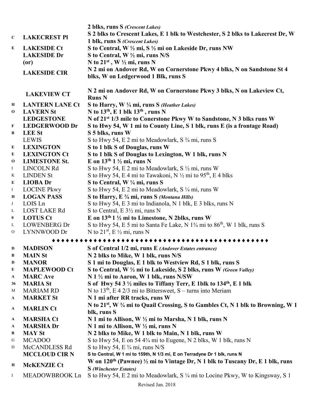|               |                        | 2 blks, runs S (Crescent Lakes)                                                                                       |
|---------------|------------------------|-----------------------------------------------------------------------------------------------------------------------|
|               |                        | S 2 blks to Crescent Lakes, E 1 blk to Westchester, S 2 blks to Lakecrest Dr, W                                       |
| $\mathbf C$   | <b>LAKECREST PI</b>    | 1 blk, runs S (Crescent Lakes)                                                                                        |
| E             | <b>LAKESIDE Ct</b>     | S to Central, W 1/2 mi, S 1/2 mi on Lakeside Dr, runs NW                                                              |
|               | <b>LAKESIDE Dr</b>     | S to Central, W $\frac{1}{2}$ mi, runs N/S                                                                            |
|               | (0r)                   | N to $21^{st}$ , W $\frac{1}{2}$ mi, runs N                                                                           |
|               |                        | N 2 mi on Andover Rd, W on Cornerstone Pkwy 4 blks, N on Sandstone St 4                                               |
|               | <b>LAKESIDE CIR</b>    | blks, W on Ledgerwood 1 Blk, runs S                                                                                   |
|               |                        |                                                                                                                       |
|               |                        | N 2 mi on Andover Rd, W on Cornerstone Pkwy 3 blks, N on Lakeview Ct,                                                 |
|               | <b>LAKEVIEW CT</b>     | <b>Runs N</b>                                                                                                         |
| Н             | <b>LANTERN LANE Ct</b> | S to Harry, W 1/4 mi, runs S (Heather Lakes)                                                                          |
| $\mathbf 0$   | <b>LAVERN St</b>       | N to $13th$ , E 1 blk $13th$ , runs N                                                                                 |
|               | <b>LEDGESTONE</b>      | N of 21 <sup>st</sup> 1/3 mile to Conerstone Pkwy W to Sandstone, N 3 blks runs W                                     |
| F             | <b>LEDGERWOOD Dr</b>   | S to Hwy 54, W 1 mi to County Line, S 1 blk, runs E (is a frontage Road)                                              |
| B             | <b>LEE St</b>          | S 5 blks, runs W                                                                                                      |
|               | <b>LEWIS</b>           | S to Hwy 54, E 2 mi to Meadowlark, S 3/4 mi, runs S                                                                   |
| E             | <b>LEXINGTON</b>       | S to 1 blk S of Douglas, runs W                                                                                       |
| E             | <b>LEXINGTON Ct</b>    | S to 1 blk S of Douglas to Lexington, W 1 blk, runs N                                                                 |
| $\mathbf 0$   | <b>LIMESTONE St.</b>   | E on $13th 1 \frac{1}{2}$ mi, runs N                                                                                  |
| $\bf{I}$      | LINCOLN Rd             | S to Hwy 54, E 2 mi to Meadowlark, S 1/2 mi, runs W                                                                   |
| K             | <b>LINDEN St</b>       | S to Hwy 54, E 4 mi to Tawakoni, N $\frac{1}{2}$ mi to 95 <sup>th</sup> , E 4 blks                                    |
| E             | <b>LIOBA</b> Dr        |                                                                                                                       |
|               |                        | S to Central, W 1/4 mi, runs S<br>S to Hwy 54, E 2 mi to Meadowlark, S 1/4 mi, runs W                                 |
| $\bf{I}$      | <b>LOCINE Pkwy</b>     |                                                                                                                       |
| Н             | <b>LOGAN PASS</b>      | S to Harry, E 3/4 mi, runs S (Montana Hills)                                                                          |
| J             | LOIS Ln                | S to Hwy 54, E 3 mi to Indianola, N 1 blk, E 3 blks, runs N                                                           |
| L             | <b>LOST LAKE Rd</b>    | S to Central, $E \frac{3}{2}$ mi, runs N                                                                              |
| $\bf{0}$      | <b>LOTUS Ct</b>        | E on 13 <sup>th</sup> 1 1/2 mi to Limestone, N 2blks, runs W                                                          |
| L             | <b>LOWENBERG Dr</b>    | S to Hwy 54, E 5 mi to Santa Fe Lake, N 1 <sup>3</sup> /4 mi to 86 <sup>th</sup> , W 1 blk, runs S                    |
| $\mathcal{O}$ | LYNNWOOD Dr            | N to $21^{st}$ , E $\frac{1}{2}$ mi, runs N                                                                           |
|               |                        | .                                                                                                                     |
| D             | <b>MADISON</b>         | S of Central 1/2 mi, runs E (Andover Estates entrance)                                                                |
| B             | <b>MAIN St</b>         | N 2 blks to Mike, W 1 blk, runs N/S                                                                                   |
| D             | <b>MANOR</b>           | S 1 mi to Douglas, E 1 blk to Westview Rd, S 1 blk, runs S                                                            |
| E             | <b>MAPLEWOOD Ct</b>    | S to Central, W 1/2 mi to Lakeside, S 2 blks, runs W (Green Valley)                                                   |
| A             | <b>MARC</b> Ave        | N 1 1/2 mi to Aaron, W 1 blk, runs N/SW                                                                               |
| 36            | <b>MARIA St</b>        | S of Hwy 54 3 1/2 miles to Tiffany Terr, E 1blk to 134 <sup>th</sup> , E 1 blk                                        |
| M             | <b>MARIAM RD</b>       | N to $13th$ , E 4 2/3 mi to Bittersweet, S – turns into Meriam                                                        |
| A             | <b>MARKET St</b>       | N 1 mi after RR tracks, runs W                                                                                        |
|               |                        | N to 21 <sup>st</sup> , W <sup>3</sup> / <sub>4</sub> mi to Quail Crossing, S to Gambles Ct, N 1 blk to Browning, W 1 |
| A             | <b>MARLIN Ct</b>       | blk, runs S                                                                                                           |
| A             | <b>MARSHA Ct</b>       | N 1 mi to Allison, W 1/2 mi to Marsha, N 1 blk, runs N                                                                |
| A             | <b>MARSHADr</b>        | N 1 mi to Allison, W 1/2 mi, runs N                                                                                   |
| B             | <b>MAY St</b>          | N 2 blks to Mike, W 1 blk to Main, N 1 blk, runs W                                                                    |
| G             | <b>MCADOO</b>          | S to Hwy 54, E on 54 4 <sup>3</sup> / <sub>4</sub> mi to Eugene, N 2 blks, W 1 blk, runs N                            |
| D             | McCANDLESS Rd          | S to Hwy 54, E $\frac{3}{4}$ mi, runs N/S                                                                             |
|               | <b>MCCLOUD CIR N</b>   | S to Central, W 1 mi to 159th, N 1/3 mi, E on Terradyne Dr 1 blk, runs N                                              |
|               |                        | W on $120th$ (Pawnee) $\frac{1}{2}$ mi to Vintage Dr, N 1 blk to Tuscany Dr, E 1 blk, runs                            |
| H             | <b>McKENZIE Ct</b>     | <b>S</b> (Winchester Estates)                                                                                         |
| $\bf{I}$      | MEADOWBROOK Ln         | S to Hwy 54, E 2 mi to Meadowlark, S 1/4 mi to Locine Pkwy, W to Kingsway, S 1                                        |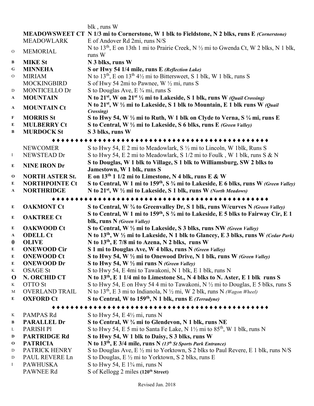|                  |                                  | blk, runs W                                                                                                                                                                   |
|------------------|----------------------------------|-------------------------------------------------------------------------------------------------------------------------------------------------------------------------------|
|                  |                                  | MEADOWSWEET CT N 1/3 mi to Cornerstone, W 1 blk to Fieldstone, N 2 blks, runs E (Cornerstone)                                                                                 |
|                  | <b>MEADOWLARK</b>                | E of Andover Rd 2mi, runs N/S                                                                                                                                                 |
| ${\rm O}$        | <b>MEMORIAL</b>                  | N to $13th$ , E on 13th 1 mi to Prairie Creek, N $\frac{1}{2}$ mi to Gwenda Ct, W 2 blks, N 1 blk,<br>runs W                                                                  |
| $\, {\bf B}$     | <b>MIKE St</b>                   | N 3 blks, runs W                                                                                                                                                              |
| G                | <b>MINNEHA</b>                   | S or Hwy 54 1/4 mile, runs E (Reflection Lake)                                                                                                                                |
| $\mathcal{O}$    | <b>MIRIAM</b>                    | N to $13th$ , E on $13th 41$ / <sub>2</sub> mi to Bittersweet, S 1 blk, W 1 blk, runs S                                                                                       |
|                  | <b>MOCKINGBIRD</b>               | S of Hwy 54 2mi to Pawnee, W 1/2 mi, runs S                                                                                                                                   |
| $\mathbf D$      | MONTICELLO Dr                    | S to Douglas Ave, E 3/4 mi, runs S                                                                                                                                            |
| $\mathbf{A}$     | <b>MOUNTAIN</b>                  | N to 21 <sup>st</sup> , W on 21 <sup>st 1</sup> / <sub>2</sub> mi to Lakeside, S 1 blk, runs W ( <i>Quail Crossing</i> )                                                      |
| $\mathbf{A}$     | <b>MOUNTAIN Ct</b>               | N to 21 <sup>st</sup> , W $\frac{1}{2}$ mi to Lakeside, S 1 blk to Mountain, E 1 blk runs W (Quail                                                                            |
| F                | <b>MORRIS St</b>                 | Crossing)<br>S to Hwy 54, W $\frac{1}{2}$ mi to Ruth, W 1 blk on Clyde to Verna, S $\frac{1}{4}$ mi, runs E                                                                   |
| E                | <b>MULBERRY Ct</b>               | S to Central, W 1/2 mi to Lakeside, S 6 blks, runs E (Green Valley)                                                                                                           |
| $\bf{B}$         | <b>MURDOCK St</b>                | S 3 blks, runs W                                                                                                                                                              |
|                  |                                  |                                                                                                                                                                               |
|                  | <b>NEWCOMER</b>                  | S to Hwy 54, E 2 mi to Meadowlark, S 1/2 mi to Lincoln, W 1blk, Runs S                                                                                                        |
| $\bf{I}$         | NEWSTEAD Dr                      | S to Hwy 54, E 2 mi to Meadowlark, S 1/2 mi to Foulk, W 1 blk, runs S & N                                                                                                     |
|                  |                                  | S to Douglas, W 1 blk to Village, S 1 blk to Williamsburg, SW 2 blks to                                                                                                       |
| E                | <b>NINE IRON Dr</b>              | Jamestown, W 1 blk, runs S                                                                                                                                                    |
| $\bf{0}$         | <b>NORTH ASTER St.</b>           | E on $13th 1 1/2$ mi to Limestone, N 4 blk, runs E & W                                                                                                                        |
| E                | <b>NORTHPOINTE Ct</b>            | S to Central, W 1 mi to 159 <sup>th</sup> , S <sup>3</sup> / <sub>4</sub> mi to Lakeside, E 6 blks, runs W (Green Valley)                                                     |
| A                | <b>NORTHRIDGE</b>                | N to $21^{st}$ , W $\frac{1}{2}$ mi to Lakeside, S 1 blk, runs W (North Meadows)                                                                                              |
|                  |                                  |                                                                                                                                                                               |
|                  |                                  | ***********************************                                                                                                                                           |
| E                | <b>OAKMONT Ct</b>                | S to Central, W 3/4 to Greenvalley Dr, S 1 blk, runs W/curves N (Green Valley)                                                                                                |
|                  |                                  | S to Central, W 1 mi to 159 <sup>th</sup> , S <sup>3</sup> / <sub>4</sub> mi to Lakeside, E 5 blks to Fairway Cir, E 1                                                        |
| ${\bf E}$        | <b>OAKTREE Ct</b>                | blk, runs N (Green Valley)                                                                                                                                                    |
| E                | <b>OAKWOOD Ct</b>                | S to Central, W 1/2 mi to Lakeside, S 3 blks, runs NW (Green Valley)                                                                                                          |
| $\mathbf{A}$     | <b>ODELL Ct</b>                  | N to 13 <sup>th</sup> , W $\frac{1}{2}$ mi to Lakeside, N 1 blk to Glancey, E 3 blks, runs W (Cedar Park)                                                                     |
| $\boldsymbol{0}$ | <b>OLIVE</b>                     | N to 13 <sup>th</sup> , E 7/8 mi to Azena, N 2 blks, runs W                                                                                                                   |
| E                | <b>ONEWOOD Cir</b>               | S 1 mi to Douglas Ave, W 4 blks, runs N (Green Valley)                                                                                                                        |
| ${\bf E}$        | <b>ONEWOOD Ct</b>                | S to Hwy 54, W 1/2 mi to Onewood Drive, N 1 blk, runs W (Green Valley)                                                                                                        |
| E                | <b>ONEWOOD Dr</b>                | S to Hwy 54, W 1/2 mi runs N (Green Valley)                                                                                                                                   |
| K                | <b>OSAGE St</b>                  | S to Hwy 54, E 4mi to Tawakoni, N 1 blk, E 1 blk, runs N                                                                                                                      |
| $\bf{O}$<br>K    | N. ORCHID CT                     | N to 13 <sup>th</sup> , E 1 1/4 mi to Limestone St., N 4 blks to N. Aster, E 1 blk runs S                                                                                     |
| M                | OTTO St<br><b>OVERLAND TRAIL</b> | S to Hwy 54, E on Hwy 54 4 mi to Tawakoni, N $\frac{1}{2}$ mi to Douglas, E 5 blks, runs S                                                                                    |
| E                | <b>OXFORD Ct</b>                 | N to 13 <sup>th</sup> , E 3 mi to Indianola, N $\frac{1}{2}$ mi, W 2 blk, runs N ( <i>Wagon Wheel</i> )<br>S to Central, W to 159 <sup>th</sup> , N 1 blk, runs E (Terradyne) |
|                  |                                  | *******************************                                                                                                                                               |
| K                | PAMPAS Rd                        | S to Hwy 54, E $4\frac{1}{2}$ mi, runs N                                                                                                                                      |
| B                | <b>PARALLEL Dr</b>               | S to Central, W 3/4 mi to Glendevon, N 1 blk, runs NE                                                                                                                         |
| L                | <b>PARISH PI</b>                 | S to Hwy 54, E 5 mi to Santa Fe Lake, N $1\frac{1}{2}$ mi to $85th$ , W 1 blk, runs N                                                                                         |
| D                | <b>PARTRIDGE Rd</b>              | S to Hwy 54, W 1 blk to Daisy, S 3 blks, runs W                                                                                                                               |
| $\bf{0}$         | <b>PATRICIA</b>                  | N to $13th$ , E 3/4 mile, runs N (13 <sup>th</sup> St Sports Park Entrance)                                                                                                   |
| D                | PATRICK HENRY                    | S to Douglas Ave, E 1/2 mi to Yorktown, S 2 blks to Paul Revere, E 1 blk, runs N/S                                                                                            |
| D                | PAUL REVERE Ln                   | S to Douglas, $E \frac{1}{2}$ mi to Yorktown, S 2 blks, runs E                                                                                                                |
| $\bf{I}$         | <b>PAWHUSKA</b><br>PAWNEE Rd     | S to Hwy 54, E $1\frac{3}{4}$ mi, runs N<br>S of Kellogg 2 miles (120 <sup>th</sup> Street)                                                                                   |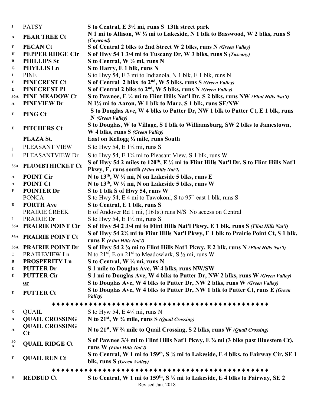| J                  | <b>PATSY</b>                     | S to Central, E 3 <sup>1</sup> / <sub>2</sub> mi, runs S 13th street park                                                                              |
|--------------------|----------------------------------|--------------------------------------------------------------------------------------------------------------------------------------------------------|
| $\mathbf{A}$       | <b>PEAR TREE Ct</b>              | N 1 mi to Allison, W 1/2 mi to Lakeside, N 1 blk to Basswood, W 2 blks, runs S<br>(Caywood)                                                            |
| ${\bf E}$          | <b>PECAN Ct</b>                  | S of Central 2 blks to 2nd Street W 2 blks, runs N (Green Valley)                                                                                      |
| Н                  | <b>PEPPER RIDGE Cir</b>          | S of Hwy 54 1 3/4 mi to Tuscany Dr, W 3 blks, runs S (Tuscany)                                                                                         |
| B                  | <b>PHILLIPS St</b>               | S to Central, W 1/2 mi, runs N                                                                                                                         |
| G                  | PHYLLIS Ln                       | S to Harry, E 1 blk, runs N                                                                                                                            |
| J                  | <b>PINE</b>                      | S to Hwy 54, E 3 mi to Indianola, N 1 blk, E 1 blk, runs N                                                                                             |
| E                  | <b>PINECREST Ct</b>              | S of Central 2 blks to 2 <sup>nd</sup> , W 5 blks, runs S (Green Valley)                                                                               |
| E                  | <b>PINECREST PI</b>              | S of Central 2 blks to 2 <sup>nd</sup> , W 5 blks, runs N (Green Valley)                                                                               |
| <b>36A</b>         | <b>PINE MEADOW Ct</b>            | S to Pawnee, E 1/4 mi to Flint Hills Nat'l Dr, S 2 blks, runs NW (Flint Hills Nat'l)                                                                   |
| $\mathbf{A}$       | <b>PINEVIEW Dr</b>               | N 1¼ mi to Aaron, W 1 blk to Marc, S 1 blk, runs SE/NW                                                                                                 |
| E                  | PING Ct                          | S to Douglas Ave, W 4 blks to Putter Dr, NW 1 blk to Putter Ct, E 1 blk, runs<br>N (Green Valley)                                                      |
|                    |                                  | S to Douglas, W to Village, S 1 blk to Williamsburg, SW 2 blks to Jamestown,                                                                           |
| E                  | <b>PITCHERS Ct</b>               | W 4 blks, runs S (Green Valley)                                                                                                                        |
|                    | PLAZA St.                        | East on Kellogg 1/4 mile, runs South                                                                                                                   |
|                    | PLEASANT VIEW                    | S to Hwy 54, E $1\frac{3}{4}$ mi, runs S                                                                                                               |
| $\rm I$            | PLEASANTVIEW Dr                  | S to Hwy 54, E 1 <sup>3</sup> / <sub>4</sub> mi to Pleasant View, S 1 blk, runs W                                                                      |
| $\bf{I}$           |                                  |                                                                                                                                                        |
|                    | 36A PLUMBTHICKET Ct              | S of Hwy 54 2 miles to 120 <sup>th</sup> , E ¼ mi to Flint Hills Nat'l Dr, S to Flint Hills Nat'l<br>Pkwy, E, runs south (Flint Hills Nat'l)           |
| $\mathbf{A}$       | <b>POINT Cir</b>                 | N to 13 <sup>th</sup> , W 1/2 mi, N on Lakeside 5 blks, runs E                                                                                         |
| $\mathbf{A}$       | <b>POINT Ct</b>                  | N to 13 <sup>th</sup> , W 1/2 mi, N on Lakeside 5 blks, runs W                                                                                         |
| F                  | <b>POINTER Dr</b>                | S to 1 blk S of Hwy 54, runs W                                                                                                                         |
|                    | <b>PONCA</b>                     | S to Hwy 54, E 4 mi to Tawokoni, S to 95 <sup>th</sup> east 1 blk, runs S                                                                              |
| D                  | <b>PORTH Ave</b>                 | S to Central, E 1 blk, runs S                                                                                                                          |
|                    | PRAIRIE CREEK                    | E of Andover Rd 1 mi, (161st) runs N/S No access on Central                                                                                            |
| $\bf{I}$           | PRAIRIE Dr                       | S to Hwy 54, E $1\frac{1}{2}$ mi, runs S                                                                                                               |
|                    | 36A PRAIRIE POINT Cir            | S of Hwy 54 2 3/4 mi to Flint Hills Nat'l Pkwy, E 1 blk, runs S (Flint Hills Nat'l)                                                                    |
|                    | 36A PRAIRIE POINT Ct             | S of Hwy 54 2 <sup>3</sup> / <sub>4</sub> mi to Flint Hills Nat'l Pkwy, E 1 blk to Prairie Point Ct, S 1 blk,<br>runs E (Flint Hills Nat'l)            |
|                    | 36A PRAIRIE POINT Dr             | S of Hwy 54 2 3/4 mi to Flint Hills Nat'l Pkwy, E 2 blk, runs N (Flint Hills Nat'l)                                                                    |
| $\rm ^o$           | PRAIREVIEW Ln                    | N to $21^{st}$ , E on $21^{st}$ to Meadowlark, S $\frac{1}{2}$ mi, runs W                                                                              |
| B                  | <b>PROSPERITY Ln</b>             | S to Central, W 1/4 mi, runs N                                                                                                                         |
| E                  | <b>PUTTER Dr</b>                 | S 1 mile to Douglas Ave, W 4 blks, runs NW/SW                                                                                                          |
| É                  | <b>PUTTER Cir</b>                | S 1 mi to Douglas Ave, W 4 blks to Putter Dr, NW 2 blks, runs W (Green Valley)                                                                         |
|                    | $\mathbf{a}$                     | S to Douglas Ave, W 4 blks to Putter Dr, NW 2 blks, runs W (Green Valley)                                                                              |
| E                  | <b>PUTTER Ct</b>                 | S to Douglas Ave, W 4 blks to Putter Dr, NW 1 blk to Putter Ct, runs E (Green                                                                          |
|                    |                                  | Valley)                                                                                                                                                |
|                    |                                  |                                                                                                                                                        |
| K                  | <b>QUAIL</b>                     | S to Hyw 54, E $4\frac{1}{4}$ mi, runs N                                                                                                               |
| $\mathbf{A}$       | <b>QUAIL CROSSING</b>            | N to $21st$ , W $\frac{3}{4}$ mile, runs S ( <i>Quail Crossing</i> )                                                                                   |
| A                  | <b>QUAIL CROSSING</b><br>$C_{t}$ | N to 21 <sup>st</sup> , W 3/4 mile to Quail Crossing, S 2 blks, runs W (Quail Crossing)                                                                |
| 36<br>$\mathbf{A}$ | <b>QUAIL RIDGE Ct</b>            | S of Pawnee 3/4 mi to Flint Hills Nat'l Pkwy, E 3/4 mi (3 blks past Bluestem Ct),<br>runs W (Flint Hills Nat'l)                                        |
| E                  | <b>QUAIL RUN Ct</b>              | S to Central, W 1 mi to 159 <sup>th</sup> , S <sup>3</sup> / <sub>4</sub> mi to Lakeside, E 4 blks, to Fairway Cir, SE 1<br>blk, runs S (Green Valley) |
|                    |                                  | *************                                                                                                                                          |
| E                  | <b>REDBUD Ct</b>                 | S to Central, W 1 mi to 159 <sup>th</sup> , S <sup>3</sup> / <sub>4</sub> mi to Lakeside, E 4 blks to Fairway, SE 2<br>Revised Jan. 2018               |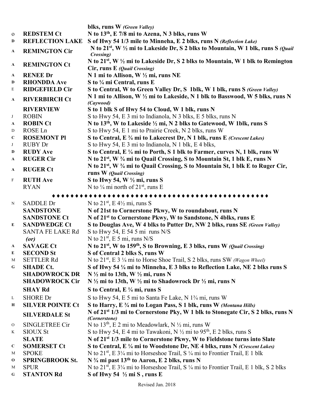|              |                         | blks, runs W (Green Valley)                                                                                                  |
|--------------|-------------------------|------------------------------------------------------------------------------------------------------------------------------|
| ${\bf O}$    | <b>REDSTEM Ct</b>       | N to 13 <sup>th</sup> , E 7/8 mi to Azena, N 3 blks, runs W                                                                  |
| D            | <b>REFLECTION LAKE</b>  | S of Hwy 54 1/3 mile to Minneha, E 2 blks, runs N (Reflection Lake)                                                          |
| A            | <b>REMINGTON Cir</b>    | N to 21 <sup>st</sup> , W $\frac{1}{2}$ mi to Lakeside Dr, S 2 blks to Mountain, W 1 blk, runs S ( <i>Quail</i><br>Crossing) |
| $\mathbf{A}$ | <b>REMINGTON Ct</b>     | N to 21 <sup>st</sup> , W 1/2 mi to Lakeside Dr, S 2 blks to Mountain, W 1 blk to Remington<br>Cir, runs E (Quail Crossing)  |
| A            | <b>RENEE Dr</b>         | N 1 mi to Allison, W 1/2 mi, runs NE                                                                                         |
| D            | <b>RHONDDA Ave</b>      | S to 1/4 mi Central, runs E                                                                                                  |
| E            | <b>RIDGEFIELD Cir</b>   | S to Central, W to Green Valley Dr, S 1blk, W 1 blk, runs S (Green Valley)                                                   |
| $\mathbf{A}$ | <b>RIVERBIRCH Ct</b>    | N 1 mi to Allison, W ½ mi to Lakeside, N 1 blk to Basswood, W 5 blks, runs N<br>(Caywood)                                    |
|              | <b>RIVERVIEW</b>        | S to 1 blk S of Hwy 54 to Cloud, W 1 blk, runs N                                                                             |
| J            | <b>ROBIN</b>            | S to Hwy 54, E 3 mi to Indianola, N 3 blks, E 5 blks, runs N                                                                 |
| A            | <b>ROBIN Ct</b>         | N to 13 <sup>th</sup> , W to Lakeside 1/2 mi, N 2 blks to Gatewood, W 1blk, runs S                                           |
| D            | ROSE Ln                 | S to Hwy 54, E 1 mi to Prairie Creek, N 2 blks, runs W                                                                       |
| $\mathbf C$  | <b>ROSEMONT PI</b>      | S to Central, E 3/4 mi to Lakecrest Dr, N 1 blk, runs E (Crescent Lakes)                                                     |
| J            | <b>RUBY Dr</b>          | S to Hwy 54, E 3 mi to Indianola, N 1 blk, E 4 blks,                                                                         |
| D            | <b>RUDY Ave</b>         | S to Central, E 1/4 mi to Porth, S 1 blk to Farmer, curves N, 1 blk, runs W                                                  |
| A            | <b>RUGER Cir</b>        | N to 21 <sup>st</sup> , W <sup>3</sup> / <sub>4</sub> mi to Quail Crossing, S to Mountain St, 1 blk E, runs N                |
| A            | <b>RUGER Ct</b>         | N to 21 <sup>st</sup> , W <sup>3</sup> / <sub>4</sub> mi to Quail Crossing, S to Mountain St, 1 blk E to Ruger Cir,          |
|              |                         | runs W (Quail Crossing)                                                                                                      |
| $\, {\rm F}$ | <b>RUTH Ave</b>         | S to Hwy 54, W $\frac{1}{2}$ mi, runs S                                                                                      |
|              | <b>RYAN</b>             | N to $\frac{1}{4}$ mi north of 21 <sup>st</sup> , runs E                                                                     |
|              |                         |                                                                                                                              |
| $\mathbf N$  | <b>SADDLE Dr</b>        | N to $21st$ , E 4 <sup>1</sup> / <sub>2</sub> mi, runs S                                                                     |
|              | <b>SANDSTONE</b>        | N of 21st to Cornerstone Pkwy, W to roundabout, runs N                                                                       |
|              | <b>SANDSTONE Ct</b>     | N of 21 <sup>st</sup> to Cornerstone Pkwy, W to Sandstone, N 4blks, runs E                                                   |
| E            | <b>SANDWEDGE Ct</b>     | S to Douglas Ave, W 4 blks to Putter Dr, NW 2 blks, runs SE (Green Valley)                                                   |
|              | <b>SANTA FE LAKE Rd</b> | S to Hwy 54, E 54 5 mi runs $N/S$                                                                                            |
|              | (or)                    | N to $21st$ , E 5 mi, runs N/S                                                                                               |
| $\mathbf{A}$ | <b>SAVAGE Ct</b>        | N to 21 <sup>st</sup> , W to 159 <sup>th</sup> , S to Browning, E 3 blks, runs W (Quail Crossing)                            |
| E            | <b>SECOND St</b>        | S of Central 2 blks S, runs W                                                                                                |
| M            | <b>SETTLER Rd</b>       | N to $21st$ , E 3 $\frac{1}{4}$ mi to Horse Shoe Trail, S 2 blks, runs SW (Wagon Wheel)                                      |
| G            | <b>SHADE Ct.</b>        | S of Hwy 54 1/4 mi to Minneha, E 3 blks to Reflection Lake, NE 2 blks runs S                                                 |
|              | <b>SHADOWROCK DR</b>    | $N\frac{1}{2}$ mi to 13th, W $\frac{1}{2}$ mi, runs N                                                                        |
|              | <b>SHADOWROCK Cir</b>   | N $\frac{1}{2}$ mi to 13th, W $\frac{1}{2}$ mi to Shadowrock Dr $\frac{1}{2}$ mi, runs N                                     |
|              | <b>SHAY Rd</b>          | S to Central, $E \frac{1}{4}$ mi, runs S                                                                                     |
| L            | <b>SHORE</b> Dr         | S to Hwy 54, E 5 mi to Santa Fe Lake, N 1 <sup>3</sup> /4 mi, runs W                                                         |
| Н            | <b>SILVER POINTE Ct</b> | S to Harry, E 3/4 mi to Logan Pass, S 1 blk, runs W (Montana Hills)                                                          |
|              | <b>SILVERDALE St</b>    | N of 21 <sup>st</sup> 1/3 mi to Cornerstone Pky, W 1 blk to Stonegate Cir, S 2 blks, runs N                                  |
|              |                         | (Cornerstone)                                                                                                                |
| $\mathbf{O}$ | SINGLETREE Cir          | N to 13 <sup>th</sup> , E 2 mi to Meadowlark, N $\frac{1}{2}$ mi, runs W                                                     |
| K            | <b>SIOUX St</b>         | S to Hwy 54, E 4 mi to Tawakoni, N $\frac{1}{2}$ mi to 95 <sup>th</sup> , E 2 blks, runs S                                   |
|              | <b>SLATE</b>            | N of 21 <sup>st</sup> 1/3 mile to Cornerstone Pkwy, W to Fieldstone turns into Slate                                         |
| $\mathbf C$  | <b>SOMERSET Ct</b>      | S to Central, E 1/4 mi to Woodstone Dr, NE 4 blks, runs N (Crescent Lakes)                                                   |
| M            | <b>SPOKE</b>            | N to $21^{st}$ , E $3\frac{1}{4}$ mi to Horseshoe Trail, S $\frac{1}{4}$ mi to Frontier Trail, E 1 blk                       |
| $\mathbf{o}$ | <b>SPRINGBROOK St.</b>  | N 3/4 mi past 13 <sup>th</sup> to Aaron, E 2 blks, runs N                                                                    |
| M            | <b>SPUR</b>             | N to 21 <sup>st</sup> , E 31/4 mi to Horseshoe Trail, S 1/4 mi to Frontier Trail, E 1 blk, S 2 blks                          |
| G            | <b>STANTON Rd</b>       | S of Hwy 54 $\frac{1}{2}$ mi S, runs E                                                                                       |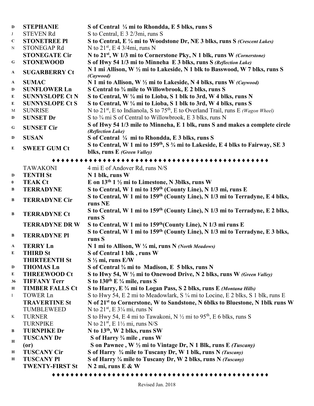| $\mathbf D$  | <b>STEPHANIE</b>       | S of Central 1/4 mi to Rhondda, E 5 blks, runs S                                                                                                   |
|--------------|------------------------|----------------------------------------------------------------------------------------------------------------------------------------------------|
| J            | <b>STEVEN Rd</b>       | S to Central, E 3 2/3mi, runs S                                                                                                                    |
| $\mathbf C$  | <b>STONETREE PI</b>    | S to Central, E 1/4 mi to Woodstone Dr, NE 3 blks, runs S (Crescent Lakes)                                                                         |
| ${\bf N}$    | <b>STONEGAP Rd</b>     | N to $21^{st}$ , E 4 3/4mi, runs N                                                                                                                 |
|              | <b>STONEGATE Cir</b>   | N to 21 <sup>st</sup> , W 1/3 mi to Cornerstone Pky, N 1 blk, runs W (Cornerstone)                                                                 |
| G            | <b>STONEWOOD</b>       | S of Hwy 54 1/3 mi to Minneha E 3 blks, runs S (Reflection Lake)                                                                                   |
| A            | <b>SUGARBERRY Ct</b>   | N 1 mi Allison, W 1/2 mi to Lakeside, N 1 blk to Basswood, W 7 blks, runs S<br>(Caywood)                                                           |
| $\mathbf A$  | <b>SUMAC</b>           | N 1 mi to Allison, W 1/2 mi to Lakeside, N 4 blks, runs W (Caywood)                                                                                |
| D            | <b>SUNFLOWER Ln</b>    | S Central to 3/4 mile to Willowbrook, E 2 blks, runs S                                                                                             |
| E            | <b>SUNNYSLOPE Ct N</b> | S to Central, W 1/4 mi to Lioba, S 1 blk to 3rd, W 4 blks, runs N                                                                                  |
| E            | <b>SUNNYSLOPE Ct S</b> | S to Central, W 1/4 mi to Lioba, S 1 blk to 3rd, W 4 blks, runs S                                                                                  |
| М            | <b>SUNRISE</b>         | N to $21^{st}$ , E to Indianola, S to $75^{th}$ , E to Overland Trail, runs E (Wagon Wheel)                                                        |
| D            | <b>SUNSET Dr</b>       | S to 3/4 mi S of Central to Willowbrook, E 3 blks, runs N                                                                                          |
|              |                        | S of Hwy 54 1/3 mile to Minneha, E 1 blk, runs S and makes a complete circle                                                                       |
| G            | <b>SUNSET Cir</b>      | (Reflection Lake)                                                                                                                                  |
| $\mathbf D$  | <b>SUSAN</b>           | S of Central 1/4 mi to Rhondda, E 3 blks, runs S                                                                                                   |
| E            | <b>SWEET GUM Ct</b>    | S to Central, W 1 mi to 159 <sup>th</sup> , S <sup>3</sup> / <sub>4</sub> mi to Lakeside, E 4 blks to Fairway, SE 3<br>blks, runs E (Green Valley) |
|              |                        |                                                                                                                                                    |
|              | <b>TAWAKONI</b>        | 4 mi E of Andover Rd, runs N/S                                                                                                                     |
| D            | <b>TENTH St</b>        | N 1 blk, runs W                                                                                                                                    |
| $\bf{0}$     | <b>TEAK Ct</b>         | E on $13th 1 \frac{1}{2}$ mi to Limestone, N 3blks, runs W                                                                                         |
| B            | <b>TERRADYNE</b>       | S to Central, W 1 mi to 159 <sup>th</sup> (County Line), N 1/3 mi, runs E                                                                          |
|              |                        | S to Central, W 1 mi to 159 <sup>th</sup> (County Line), N 1/3 mi to Terradyne, E 4 blks,                                                          |
| B            | <b>TERRADYNE Cir</b>   | runs NE                                                                                                                                            |
|              |                        | S to Central, W 1 mi to 159 <sup>th</sup> (County Line), N 1/3 mi to Terradyne, E 2 blks,                                                          |
| $\bf{B}$     | <b>TERRADYNE Ct</b>    | runs S                                                                                                                                             |
|              | <b>TERRADYNE DRW</b>   | S to Central, W 1 mi to 159 <sup>th</sup> (County Line), N 1/3 mi runs E                                                                           |
|              | <b>TERRADYNE PI</b>    | S to Central, W 1 mi to 159 <sup>th</sup> (County Line), N 1/3 mi to Terradyne, E 3 blks,                                                          |
| B            |                        | runs S                                                                                                                                             |
| $\mathbf{A}$ | <b>TERRY Ln</b>        | N 1 mi to Allison, W 1/4 mi, runs N (North Meadows)                                                                                                |
| E            | <b>THIRD St</b>        | S of Central 1 blk, runs W                                                                                                                         |
|              | <b>THIRTEENTH St</b>   | $S\frac{1}{2}$ mi, runs $E/W$                                                                                                                      |
| D            | <b>THOMAS Ln</b>       | S of Central 3/4 mi to Madison, E 5 blks, runs N                                                                                                   |
| E            | <b>THREEWOOD Ct</b>    | S to Hwy 54, W 1/2 mi to Onewood Drive, N 2 blks, runs W (Green Valley)                                                                            |
| 36           | <b>TIFFANY Terr</b>    | S to $130^{th}$ E $\frac{1}{4}$ mile, runs S                                                                                                       |
| Н            | <b>TIMBER FALLS Ct</b> | S to Harry, E 3/4 mi to Logan Pass, S 2 blks, runs E (Montana Hills)                                                                               |
| $\bf{I}$     | <b>TOWER Ln</b>        | S to Hwy 54, E 2 mi to Meadowlark, S 1/4 mi to Locine, E 2 blks, S 1 blk, runs E                                                                   |
|              | <b>TRAVERTINE St</b>   | N of 21 <sup>st</sup> to Cornerstone, W to Sandstone, N 6blks to Bluestone, N 1blk runs W                                                          |
|              | TUMBLEWEED             | N to $21^{st}$ , E $3\frac{1}{4}$ mi, runs N                                                                                                       |
| K            | <b>TURNER</b>          | S to Hwy 54, E 4 mi to Tawakoni, N 1/2 mi to 95 <sup>th</sup> , E 6 blks, runs S                                                                   |
|              | <b>TURNPIKE</b>        | N to $21^{st}$ , E $1\frac{1}{2}$ mi, runs N/S                                                                                                     |
| B            | <b>TURNPIKE Dr</b>     | N to 13 <sup>th</sup> , W 2 blks, runs SW                                                                                                          |
| Н            | <b>TUSCANY Dr</b>      | S of Harry 3/4 mile, runs W                                                                                                                        |
|              | (0r)                   | S on Pawnee, W $\frac{1}{2}$ mi to Vintage Dr, N 1 Blk, runs E <i>(Tuscany)</i>                                                                    |
| Н            | <b>TUSCANY Cir</b>     | S of Harry 3/4 mile to Tuscany Dr, W 1 blk, runs N (Tuscany)                                                                                       |
| Н            | <b>TUSCANY PI</b>      | S of Harry 3/4 mile to Tuscany Dr, W 2 blks, runs N (Tuscany)                                                                                      |
|              | <b>TWENTY-FIRST St</b> | $N$ 2 mi, runs E & W                                                                                                                               |
|              |                        |                                                                                                                                                    |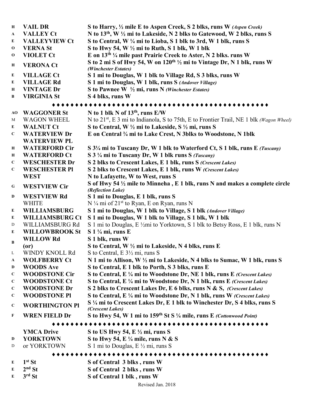| H            | <b>VAIL DR</b>       | S to Harry, 1/2 mile E to Aspen Creek, S 2 blks, runs W (Aspen Creek)                                       |
|--------------|----------------------|-------------------------------------------------------------------------------------------------------------|
| $\mathbf{A}$ | <b>VALLEY Ct</b>     | N to 13 <sup>th</sup> , W 1/2 mi to Lakeside, N 2 blks to Gatewood, W 2 blks, runs S                        |
| E            | <b>VALLEYVIEW Ct</b> | S to Central, W 1/4 mi to Lioba, S 1 blk to 3rd, W 1 blk, runs S                                            |
| $\mathbf 0$  | <b>VERNA St</b>      | S to Hwy 54, W $\frac{1}{2}$ mi to Ruth, S 1 blk, W 1 blk                                                   |
| $\Omega$     | <b>VIOLET Ct</b>     | E on 13 <sup>th 1</sup> / <sub>4</sub> mile past Prairie Creek to Aster, N 2 blks. runs W                   |
| H            | <b>VERONA Ct</b>     | S to 2 mi S of Hwy 54, W on 120 <sup>th 1/2</sup> mi to Vintage Dr, N 1 blk, runs W<br>(Winchester Estates) |
| E            | <b>VILLAGE Ct</b>    | S 1 mi to Douglas, W 1 blk to Village Rd, S 3 blks, runs W                                                  |
| E            | <b>VILLAGE Rd</b>    | S 1 mi to Douglas, W 1 blk, runs S (Andover Village)                                                        |
| H            | <b>VINTAGE Dr</b>    | S to Pawnee W $\frac{1}{2}$ mi, runs N (Winchester Estates)                                                 |
| B            | <b>VIRGINIA St</b>   | S 4 blks, runs W                                                                                            |

#### ♦♦♦♦♦♦♦♦♦♦♦♦♦♦♦♦♦♦♦♦♦♦♦♦♦♦♦♦♦♦♦♦♦♦♦♦♦♦♦♦♦♦♦♦♦♦♦

| AO          | <b>WAGGONER St</b>     | N to 1 blk N of $13th$ , runs E/W                                                                           |  |
|-------------|------------------------|-------------------------------------------------------------------------------------------------------------|--|
| M           | <b>WAGON WHEEL</b>     | N to 21 <sup>st</sup> , E 3 mi to Indianola, S to 75th, E to Frontier Trail, NE 1 blk (Wagon Wheel)         |  |
| E           | <b>WALNUT Ct</b>       | S to Central, W 1/2 mi to Lakeside, S 1/2 mi, runs S                                                        |  |
| $\mathbf C$ | <b>WATERVIEW Dr</b>    | E on Central 3/4 mi to Lake Crest, N 3blks to Woodstone, N 1blk                                             |  |
|             | <b>WATERVIEW PL</b>    |                                                                                                             |  |
| Н           | <b>WATERFORD Cir</b>   | S 3 <sup>1</sup> / <sub>4</sub> mi to Tuscany Dr, W 1 blk to Waterford Ct, S 1 blk, runs E (Tuscany)        |  |
| $\bf H$     | <b>WATERFORD Ct</b>    | S 3 1/4 mi to Tuscany Dr, W 1 blk runs S (Tuscany)                                                          |  |
| $\mathbf C$ | <b>WESCHESTER Dr</b>   | S 2 blks to Crescent Lakes, E 1 blk, runs S (Crescent Lakes)                                                |  |
| $\mathbf C$ | <b>WESCHESTER PI</b>   | S 2 blks to Crescent Lakes, E 1 blk, runs W (Crescent Lakes)                                                |  |
|             | <b>WEST</b>            | N to Lafayette, W to West, runs S                                                                           |  |
| G           | <b>WESTVIEW Cir</b>    | S of Hwy 54 $\frac{1}{2}$ mile to Minneha, E 1 blk, runs N and makes a complete circle<br>(Reflection Lake) |  |
| D           | <b>WESTVIEW Rd</b>     | S 1 mi to Douglas, E 1 blk, runs S                                                                          |  |
|             | <b>WHITE</b>           | N $\frac{1}{4}$ mi of 21 <sup>st</sup> to Ryan, E on Ryan, runs N                                           |  |
| E           | <b>WILLIAMSBURG</b>    | S 1 mi to Douglas, W 1 blk to Village, S 1 blk (Andover Village)                                            |  |
| E           | <b>WILLIAMSBURG Ct</b> | S 1 mi to Douglas, W 1 blk to Village, S 1 blk, W 1 blk                                                     |  |
| D           | WILLIAMSBURG Rd        | S 1 mi to Douglas, E ½mi to Yorktown, S 1 blk to Betsy Ross, E 1 blk, runs N                                |  |
| E           | <b>WILLOWBROOK St</b>  | $S$ 1 $\frac{1}{4}$ mi, runs E                                                                              |  |
|             | <b>WILLOW Rd</b>       | S 1 blk, runs W                                                                                             |  |
| B           | (0r)                   | S to Central, W 1/2 mi to Lakeside, N 4 blks, runs E                                                        |  |
| L           | WINDY KNOLL Rd         | S to Central, E $3\frac{1}{2}$ mi, runs S                                                                   |  |
| A           | <b>WOLFBERRY Ct</b>    | N 1 mi to Allison, W 1/2 mi to Lakeside, N 4 blks to Sumac, W 1 blk, runs S                                 |  |
| D           | <b>WOODS Ave</b>       | S to Central, E 1 blk to Porth, S 3 blks, runs E                                                            |  |
| $\mathbf C$ | <b>WOODSTONE Cir</b>   | S to Central, E 1/4 mi to Woodstone Dr, NE 1 blk, runs E (Crescent Lakes)                                   |  |
| $\mathbf C$ | <b>WOODSTONE Ct</b>    | S to Central, E 1/4 mi to Woodstone Dr, N 1 blk, runs E (Crescent Lakes)                                    |  |
| $\mathbf C$ | <b>WOODSTONE Dr</b>    | S 2 blks to Crescent Lakes Dr, E 6 blks, runs N & S, (Crescent Lakes)                                       |  |
| $\mathbf C$ | <b>WOODSTONE PI</b>    | S to Central, E 1/4 mi to Woodstone Dr, N 1 blk, runs W (Crescent Lakes)                                    |  |
| $\mathbf C$ | <b>WORTHINGTON PI</b>  | S 1/4 mi to Crescent Lakes Dr, E 1 blk to Winchester Dr, S 4 blks, runs S<br>(Crescent Lakes)               |  |
| F           | <b>WREN FIELD Dr</b>   | S to Hwy 54, W 1 mi to 159 <sup>th</sup> St S 1/4 mile, runs E (Cottonwood Point)                           |  |
|             |                        |                                                                                                             |  |
|             | <b>YMCA Drive</b>      | S to US Hwy 54, E 1/2 mi, runs S                                                                            |  |
| D           | <b>YORKTOWN</b>        | S to Hwy 54, E $\frac{1}{4}$ mile, runs N & S                                                               |  |
| D           | or YORKTOWN            | S 1 mi to Douglas, E 1/2 mi, runs S                                                                         |  |
|             |                        |                                                                                                             |  |
| E           | $1st$ St               | S of Central 3 blks, runs W                                                                                 |  |
| E           | $2nd$ St               | S of Central 2 blks, runs W                                                                                 |  |

**<sup>E</sup> 3rd St S of Central 1 blk , runs W**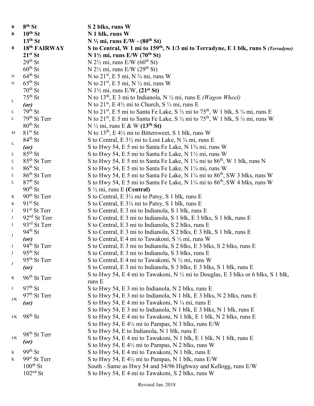| B           | 8 <sup>th</sup> St       | S 2 blks, runs W                                                                                          |
|-------------|--------------------------|-----------------------------------------------------------------------------------------------------------|
| B           | $10th$ St                | N 1 blk, runs W                                                                                           |
|             | $13th$ St                | $N \frac{1}{2}$ mi, runs E/W - (80 <sup>th</sup> St)                                                      |
| $\bf{B}$    | 18th FAIRWAY             | S to Central, W 1 mi to 159 <sup>th</sup> , N 1/3 mi to Terradyne, E 1 blk, runs S (Terradyne)            |
|             | $21^{st}$ St             | N $1\frac{1}{2}$ mi, runs E/W (70 <sup>th</sup> St)                                                       |
|             | $29th$ St                | N $2\frac{1}{2}$ mi, runs E/W (60 <sup>th</sup> St)                                                       |
|             | $60^{\text{th}}$ St      | N $2\frac{1}{2}$ mi, runs E/W ( $29th$ St)                                                                |
| ${\bf N}$   | $64^{\text{th}}$ St      | N to $21^{st}$ , E 5 mi, N $\frac{3}{4}$ mi, runs W                                                       |
| N           | $65^{th}$ St             | N to $21^{st}$ , E 5 mi, N $\frac{1}{2}$ mi, runs W                                                       |
|             | $70^{th}$ St             | N 1½ mi, runs E/W, $(21^{st}$ St)                                                                         |
|             | $75th$ St                | N to 13 <sup>th</sup> , E 3 mi to Indianola, N $\frac{1}{2}$ mi, runs E ( <i>Wagon Wheel</i> )            |
| $\mathbf L$ | (or)                     | N to 21 <sup>st</sup> , E 4 <sup>1/2</sup> mi to Church, S <sup>1/2</sup> mi, runs E                      |
| $\mathbf L$ | $79th$ St                | N to 21 <sup>st</sup> , E 5 mi to Santa Fe Lake, S 1/2 mi to 75 <sup>th</sup> , W 1 blk, S 1/4 mi, runs E |
| $\mathbf L$ | $79th$ St Terr           | N to 21 <sup>st</sup> , E 5 mi to Santa Fe Lake, S 1/2 mi to 75 <sup>th</sup> , W 1 blk, S 1/4 mi, runs W |
|             | $80th$ St                | N $\frac{1}{2}$ mi, runs E & W (13 <sup>th</sup> St)                                                      |
| M           | $81st$ St                | N to $13th$ , E 4 <sup>1</sup> / <sub>2</sub> mi to Bittersweet, S 1 blk, runs W                          |
|             | $84th$ St                | S to Central, E 3½ mi to Lost Lake, N 3⁄4 mi, runs E                                                      |
| $\mathbf L$ | (or)                     | S to Hwy 54, E 5 mi to Santa Fe Lake, N 1 <sup>3</sup> /4 mi, runs W                                      |
| $\Gamma$    | $85th$ St                | S to Hwy 54, E 5 mi to Santa Fe Lake, N 1 <sup>1</sup> /2 mi, runs W                                      |
| L           | 85 <sup>th</sup> St Terr | S to Hwy 54, E 5 mi to Santa Fe Lake, N 1¼ mi to 86 <sup>th</sup> , W 1 blk, runs N                       |
| $\Gamma$    | $86th$ St                | S to Hwy 54, E 5 mi to Santa Fe Lake, N 1¼ mi, runs W                                                     |
| L           | $86th$ St Terr           | S to Hwy 54, E 5 mi to Santa Fe Lake, N $1\frac{1}{4}$ mi to 86 <sup>th</sup> , SW 3 blks, runs W         |
| L           | $87th$ St                | S to Hwy 54, E 5 mi to Santa Fe Lake, N 1¼ mi to 86 <sup>th</sup> , SW 4 blks, runs W                     |
|             | $90^{th}$ St             | $S \frac{1}{2}$ mi, runs E (Central)                                                                      |
| K           | $90th$ St Terr           | S to Central, E 31/4 mi to Patsy, S 1 blk, runs E                                                         |
| $\rm K$     | $91st$ St                | S to Central, E 31/4 mi to Patsy, S 1 blk, runs E                                                         |
| $\bf J$     | $91st$ St Terr           | S to Central, E 3 mi to Indianola, S 1 blk, runs E                                                        |
| $_{\rm J}$  | 92 <sup>nd</sup> St Terr | S to Central, E 3 mi to Indianola, S 1 blk, E 3 blks, S 1 blk, runs E                                     |
| $\bf J$     | $93rd$ St Terr           | S to Central, E 3 mi to Indianola, S 2 blks, runs E                                                       |
|             | $94^{th}$ St             | S to Central, E 3 mi to Indianola, S 2 blks, E 3 blk, S 1 blk, runs E                                     |
| $_{\rm J}$  | (or)                     | S to Central, E 4 mi to Tawakoni, S 1/2 mi, runs W                                                        |
| $_{\rm J}$  | $94th$ St Terr           | S to Central, E 3 mi to Indianola, S 2 blks, E 3 blks, S 2 blks, runs E                                   |
|             | $95th$ St                | S to Central, E 3 mi to Indianola, S 3 blks, runs E                                                       |
|             | $95th$ St Terr           | S to Central, E 4 mi to Tawakoni, N $\frac{1}{2}$ mi, runs W                                              |
| $_{\rm J}$  | (or)                     | S to Central, E 3 mi to Indianola, S 3 blks, E 3 blks, S 1 blk, runs E                                    |
|             |                          | S to Hwy 54, E 4 mi to Tawakoni, N $\frac{1}{2}$ mi to Douglas, E 3 blks or 6 blks, S 1 blk,              |
| K           | 96 <sup>th</sup> St Terr | runs E                                                                                                    |
| $\bf J$     | $97th$ St                | S to Hwy 54, E 3 mi to Indianola, N 2 blks, runs E                                                        |
|             | $97th$ St Terr           | S to Hwy 54, E 3 mi to Indianola, N 1 blk, E 3 blks, N 2 blks, runs E                                     |
| J/K         | (or)                     | S to Hwy 54, E 4 mi to Tawakoni, N 1/4 mi, runs E                                                         |
|             |                          | S to Hwy 54, E 3 mi to Indianola, N 1 blk, E 3 blks, N 1 blk, runs E                                      |
| J/K         | $98th$ St                | S to Hwy 54, E 4 mi to Tawakoni, N 1 blk, E 1 blk, N 2 blks, runs E                                       |
|             |                          | S to Hwy 54, E $4\frac{1}{2}$ mi to Pampas, N 3 blks, runs E/W                                            |
|             |                          | S to Hwy 54, E to Indianola, N 1 blk, runs E                                                              |
| J/K         | 98 <sup>th</sup> St Terr | S to Hwy 54, E 4 mi to Tawakoni, N 1 blk, E 1 blk, N 1 blk, runs E                                        |
|             | (or)                     | S to Hwy 54, E $4\frac{1}{2}$ mi to Pampas, N 2 blks, runs W                                              |
| K           | $99th$ St                | S to Hwy 54, E 4 mi to Tawakoni, N 1 blk, runs E                                                          |
| K           | 99 <sup>st</sup> St Terr | S to Hwy 54, E 4½ mi to Pampas, N 1 blk, runs E/W                                                         |
|             | $100^{\text{th}}$ St     | South - Same as Hwy 54 and 54/96 Highway and Kellogg, runs E/W                                            |
|             | $102nd$ St               | S to Hwy 54, E 4 mi to Tawakoni, S 2 blks, runs W                                                         |
|             |                          |                                                                                                           |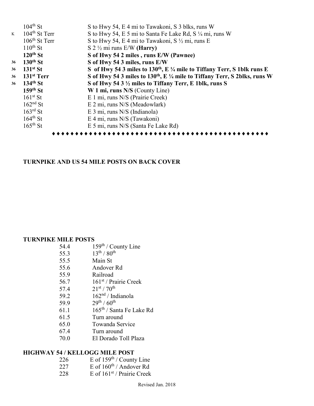|    | $104^{\text{th}}$ St      | S to Hwy 54, E 4 mi to Tawakoni, S 3 blks, runs W                                              |
|----|---------------------------|------------------------------------------------------------------------------------------------|
| K  | $104^{\text{th}}$ St Terr | S to Hwy 54, E 5 mi to Santa Fe Lake Rd, S 1/4 mi, runs W                                      |
|    | $106^{\text{th}}$ St Terr | S to Hwy 54, E 4 mi to Tawakoni, S $\frac{1}{2}$ mi, runs E                                    |
|    | $110^{th}$ St             | S 2 $\frac{1}{2}$ mi runs E/W (Harry)                                                          |
|    | $120th$ St                | S of Hwy 54 2 miles, runs E/W (Pawnee)                                                         |
| 36 | $130th$ St                | S of Hwy 54 3 miles, runs E/W                                                                  |
| 36 | $131st$ St                | S of Hwy 54 3 miles to 130 <sup>th</sup> , E $\frac{1}{4}$ mile to Tiffany Terr, S 1blk runs E |
| 36 | $131st$ Terr              | S of Hwy 54 3 miles to $130^{th}$ , E $\frac{1}{4}$ mile to Tiffany Terr, S 2blks, runs W      |
| 36 | $134th$ St                | S of Hwy 54 3 1/2 miles to Tiffany Terr, E 1blk, runs S                                        |
|    | $159th$ St                | W 1 mi, runs N/S (County Line)                                                                 |
|    | $161st$ St                | E 1 mi, runs N/S (Prairie Creek)                                                               |
|    | $162nd$ St                | E 2 mi, runs N/S (Meadowlark)                                                                  |
|    | $163^{\text{rd}}$ St      | E 3 mi, runs N/S (Indianola)                                                                   |
|    | $164^{\text{th}}$ St      | E 4 mi, runs N/S (Tawakoni)                                                                    |
|    | $165^{\text{th}}$ St      | E 5 mi, runs N/S (Santa Fe Lake Rd)                                                            |
|    |                           |                                                                                                |

#### **TURNPIKE AND US 54 MILE POSTS ON BACK COVER**

#### **TURNPIKE MILE POSTS**

| 54.4 | $159th$ / County Line |  |
|------|-----------------------|--|
|      |                       |  |

- 55.3  $13^{th} / 80^{th}$
- 55.5 Main St
- 55.6 Andover Rd<br>55.9 Railroad
- 55.9 Railroad<br>56.7  $161^{st}$  / Pr.
- 56.7  $161^{st}$  / Prairie Creek<br>57.4  $21^{st}$  /  $70^{th}$
- $21^{st}$  /  $70^{th}$
- 59.2  $162<sup>nd</sup>$  / Indianola
- 59.9 29<sup>th</sup> / 60<sup>th</sup>
- 61.1 165th / Santa Fe Lake Rd
- 61.5 Turn around
- 65.0 Towanda Service
- 67.4 Turn around
- 70.0 El Dorado Toll Plaza

### **HIGHWAY 54 / KELLOGG MILE POST**<br>226 E of 159<sup>th</sup> / County

- 226 E of  $159<sup>th</sup>$  / County Line
- 227 E of  $160^{\text{th}}$  / Andover Rd
- 228 E of  $161<sup>st</sup>$  / Prairie Creek